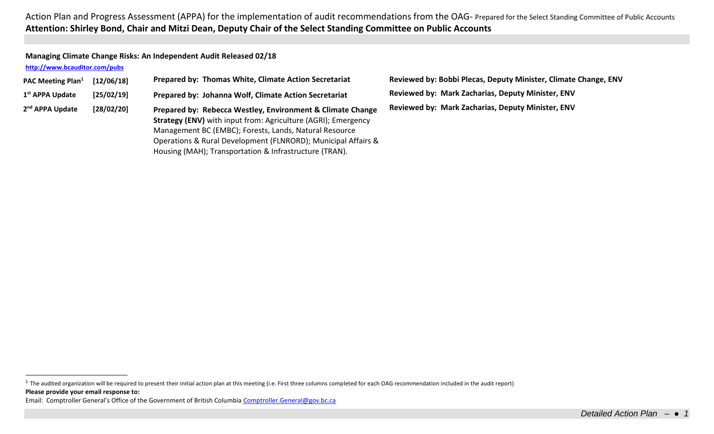## **Managing Climate Change Risks: An Independent Audit Released 02/18**

## **<http://www.bcauditor.com/pubs>**

 $\overline{a}$ 

| PAC Meeting Plan <sup>1</sup> | [12/06/18] | Prepared by: Thomas White, Climate Action Secretariat                                                                   |  |
|-------------------------------|------------|-------------------------------------------------------------------------------------------------------------------------|--|
| 1 <sup>st</sup> APPA Update   | [25/02/19] | Prepared by: Johanna Wolf, Climate Action Secretariat                                                                   |  |
| 2 <sup>nd</sup> APPA Update   | [28/02/20] | Prepared by: Rebecca Westley, Environment & Climate Change                                                              |  |
|                               |            | Strategy (ENV) with input from: Agriculture (AGRI); Emergency<br>Management BC (EMBC); Forests, Lands, Natural Resource |  |
|                               |            | Operations & Rural Development (FLNRORD); Municipal Affairs &                                                           |  |
|                               |            | Housing (MAH); Transportation & Infrastructure (TRAN).                                                                  |  |

**[12/06/18] Prepared by: Thomas White, Climate Action Secretariat Reviewed by: Bobbi Plecas, Deputy Minister, Climate Change, ENV Reviewed by: Mark Zacharias, Deputy Minister, ENV Reviewed by: Mark Zacharias, Deputy Minister, ENV**

**Please provide your email response to:** <sup>1</sup> The audited organization will be required to present their initial action plan at this meeting (i.e. First three columns completed for each OAG recommendation included in the audit report)

Email: Comptroller General's Office of the Government of British Columbia [Comptroller.General@gov.bc.ca](mailto:Comptroller.General@gov.bc.ca)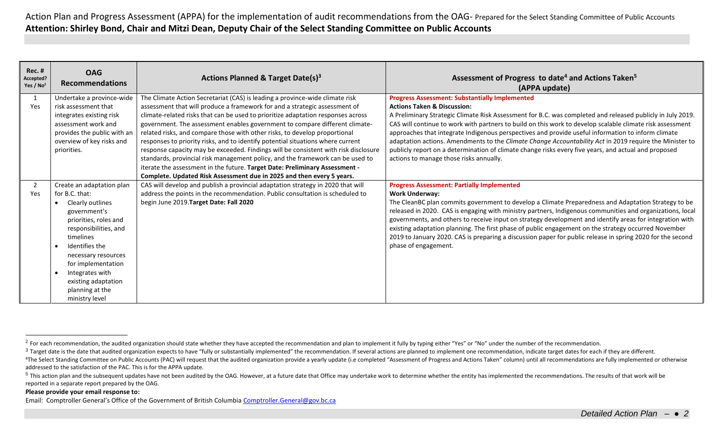| Rec. #<br>Accepted?<br>Yes / $No2$ | <b>OAG</b><br><b>Recommendations</b> | Actions Planned & Target Date(s) <sup>3</sup>                                       | Assessment of Progress to date <sup>4</sup> and Actions Taken <sup>5</sup><br>(APPA update)                |
|------------------------------------|--------------------------------------|-------------------------------------------------------------------------------------|------------------------------------------------------------------------------------------------------------|
|                                    | Undertake a province-wide            | The Climate Action Secretariat (CAS) is leading a province-wide climate risk        | <b>Progress Assessment: Substantially Implemented</b>                                                      |
| Yes                                | risk assessment that                 | assessment that will produce a framework for and a strategic assessment of          | <b>Actions Taken &amp; Discussion:</b>                                                                     |
|                                    | integrates existing risk             | climate-related risks that can be used to prioritize adaptation responses across    | A Preliminary Strategic Climate Risk Assessment for B.C. was completed and released publicly in July 2019. |
|                                    | assessment work and                  | government. The assessment enables government to compare different climate-         | CAS will continue to work with partners to build on this work to develop scalable climate risk assessment  |
|                                    | provides the public with an          | related risks, and compare those with other risks, to develop proportional          | approaches that integrate Indigenous perspectives and provide useful information to inform climate         |
|                                    | overview of key risks and            | responses to priority risks, and to identify potential situations where current     | adaptation actions. Amendments to the Climate Change Accountability Act in 2019 require the Minister to    |
|                                    | priorities.                          | response capacity may be exceeded. Findings will be consistent with risk disclosure | publicly report on a determination of climate change risks every five years, and actual and proposed       |
|                                    |                                      | standards, provincial risk management policy, and the framework can be used to      | actions to manage those risks annually.                                                                    |
|                                    |                                      | iterate the assessment in the future. Target Date: Preliminary Assessment -         |                                                                                                            |
|                                    |                                      | Complete. Updated Risk Assessment due in 2025 and then every 5 years.               |                                                                                                            |
| -2                                 | Create an adaptation plan            | CAS will develop and publish a provincial adaptation strategy in 2020 that will     | <b>Progress Assessment: Partially Implemented</b>                                                          |
| Yes                                | for B.C. that:                       | address the points in the recommendation. Public consultation is scheduled to       | <b>Work Underway:</b>                                                                                      |
|                                    | Clearly outlines                     | begin June 2019. Target Date: Fall 2020                                             | The CleanBC plan commits government to develop a Climate Preparedness and Adaptation Strategy to be        |
|                                    | government's                         |                                                                                     | released in 2020. CAS is engaging with ministry partners, Indigenous communities and organizations, local  |
|                                    | priorities, roles and                |                                                                                     | governments, and others to receive input on strategy development and identify areas for integration with   |
|                                    | responsibilities, and                |                                                                                     | existing adaptation planning. The first phase of public engagement on the strategy occurred November       |
|                                    | timelines                            |                                                                                     | 2019 to January 2020. CAS is preparing a discussion paper for public release in spring 2020 for the second |
|                                    | Identifies the                       |                                                                                     | phase of engagement.                                                                                       |
|                                    | necessary resources                  |                                                                                     |                                                                                                            |
|                                    | for implementation                   |                                                                                     |                                                                                                            |
|                                    | Integrates with                      |                                                                                     |                                                                                                            |
|                                    | existing adaptation                  |                                                                                     |                                                                                                            |
|                                    | planning at the                      |                                                                                     |                                                                                                            |
|                                    | ministry level                       |                                                                                     |                                                                                                            |

#### **Please provide your email response to:**

 $\overline{a}$ 

Email: Comptroller General's Office of the Government of British Columbia [Comptroller.General@gov.bc.ca](mailto:Comptroller.General@gov.bc.ca)

<sup>&</sup>lt;sup>2</sup> For each recommendation, the audited organization should state whether they have accepted the recommendation and plan to implement it fully by typing either "Yes" or "No" under the number of the recommendation.

<sup>&</sup>lt;sup>3</sup> Target date is the date that audited organization expects to have "fully or substantially implemented" the recommendation. If several actions are planned to implement one recommendation, indicate target dates for each <sup>4</sup>The Select Standing Committee on Public Accounts (PAC) will request that the audited organization provide a yearly update (i.e completed "Assessment of Progress and Actions Taken" column) until all recommendations are f addressed to the satisfaction of the PAC. This is for the APPA update.

<sup>&</sup>lt;sup>5</sup> This action plan and the subsequent updates have not been audited by the OAG. However, at a future date that Office may undertake work to determine whether the entity has implemented the recommendations. The results of reported in a separate report prepared by the OAG.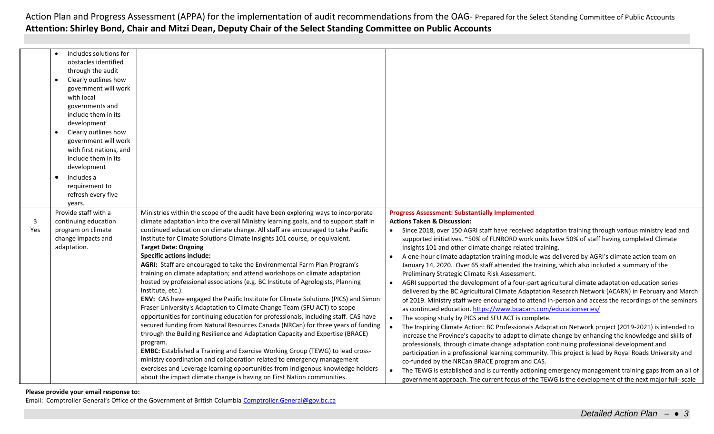|          | Includes solutions for<br>obstacles identified<br>through the audit<br>Clearly outlines how<br>government will work<br>with local<br>governments and<br>include them in its<br>development<br>Clearly outlines how<br>government will work<br>with first nations, and<br>include them in its<br>development<br>Includes a<br>requirement to<br>refresh every five<br>years. |                                                                                                                                                                                                                                                                                                                                                                                                                                                                                                                                                                                                                                                                                                                                                                                                                                                                                                                                                                                                                                                                                                                                                                                                                                                                                                                                                                       |                                                                                                                                                                                                                                                                                                                                                                                                                                                                                                                                                                                                                                                                                                                                                                                                                                                                                                                                                                                                                                                                                                                                                                                                                                                                                                                                                                                                                                                                                                                                                                                                                                                                                                         |
|----------|-----------------------------------------------------------------------------------------------------------------------------------------------------------------------------------------------------------------------------------------------------------------------------------------------------------------------------------------------------------------------------|-----------------------------------------------------------------------------------------------------------------------------------------------------------------------------------------------------------------------------------------------------------------------------------------------------------------------------------------------------------------------------------------------------------------------------------------------------------------------------------------------------------------------------------------------------------------------------------------------------------------------------------------------------------------------------------------------------------------------------------------------------------------------------------------------------------------------------------------------------------------------------------------------------------------------------------------------------------------------------------------------------------------------------------------------------------------------------------------------------------------------------------------------------------------------------------------------------------------------------------------------------------------------------------------------------------------------------------------------------------------------|---------------------------------------------------------------------------------------------------------------------------------------------------------------------------------------------------------------------------------------------------------------------------------------------------------------------------------------------------------------------------------------------------------------------------------------------------------------------------------------------------------------------------------------------------------------------------------------------------------------------------------------------------------------------------------------------------------------------------------------------------------------------------------------------------------------------------------------------------------------------------------------------------------------------------------------------------------------------------------------------------------------------------------------------------------------------------------------------------------------------------------------------------------------------------------------------------------------------------------------------------------------------------------------------------------------------------------------------------------------------------------------------------------------------------------------------------------------------------------------------------------------------------------------------------------------------------------------------------------------------------------------------------------------------------------------------------------|
|          | Provide staff with a                                                                                                                                                                                                                                                                                                                                                        | Ministries within the scope of the audit have been exploring ways to incorporate                                                                                                                                                                                                                                                                                                                                                                                                                                                                                                                                                                                                                                                                                                                                                                                                                                                                                                                                                                                                                                                                                                                                                                                                                                                                                      | <b>Progress Assessment: Substantially Implemented</b>                                                                                                                                                                                                                                                                                                                                                                                                                                                                                                                                                                                                                                                                                                                                                                                                                                                                                                                                                                                                                                                                                                                                                                                                                                                                                                                                                                                                                                                                                                                                                                                                                                                   |
| 3<br>Yes | continuing education<br>program on climate<br>change impacts and<br>adaptation.                                                                                                                                                                                                                                                                                             | climate adaptation into the overall Ministry learning goals, and to support staff in<br>continued education on climate change. All staff are encouraged to take Pacific<br>Institute for Climate Solutions Climate Insights 101 course, or equivalent.<br><b>Target Date: Ongoing</b><br><b>Specific actions include:</b><br>AGRI: Staff are encouraged to take the Environmental Farm Plan Program's<br>training on climate adaptation; and attend workshops on climate adaptation<br>hosted by professional associations (e.g. BC Institute of Agrologists, Planning<br>Institute, etc.).<br>ENV: CAS have engaged the Pacific Institute for Climate Solutions (PICS) and Simon<br>Fraser University's Adaptation to Climate Change Team (SFU ACT) to scope<br>opportunities for continuing education for professionals, including staff. CAS have<br>secured funding from Natural Resources Canada (NRCan) for three years of funding<br>through the Building Resilience and Adaptation Capacity and Expertise (BRACE)<br>program.<br><b>EMBC:</b> Established a Training and Exercise Working Group (TEWG) to lead cross-<br>ministry coordination and collaboration related to emergency management<br>exercises and Leverage learning opportunities from Indigenous knowledge holders<br>about the impact climate change is having on First Nation communities. | <b>Actions Taken &amp; Discussion:</b><br>Since 2018, over 150 AGRI staff have received adaptation training through various ministry lead and<br>supported initiatives. ~50% of FLNRORD work units have 50% of staff having completed Climate<br>Insights 101 and other climate change related training.<br>A one-hour climate adaptation training module was delivered by AGRI's climate action team on<br>January 14, 2020. Over 65 staff attended the training, which also included a summary of the<br>Preliminary Strategic Climate Risk Assessment.<br>AGRI supported the development of a four-part agricultural climate adaptation education series<br>delivered by the BC Agricultural Climate Adaptation Research Network (ACARN) in February and March<br>of 2019. Ministry staff were encouraged to attend in-person and access the recordings of the seminars<br>as continued education. https://www.bcacarn.com/educationseries/<br>The scoping study by PICS and SFU ACT is complete.<br>$\bullet$<br>The Inspiring Climate Action: BC Professionals Adaptation Network project (2019-2021) is intended to<br>increase the Province's capacity to adapt to climate change by enhancing the knowledge and skills of<br>professionals, through climate change adaptation continuing professional development and<br>participation in a professional learning community. This project is lead by Royal Roads University and<br>co-funded by the NRCan BRACE program and CAS.<br>The TEWG is established and is currently actioning emergency management training gaps from an all of<br>government approach. The current focus of the TEWG is the development of the next major full- scale |

#### **Please provide your email response to:**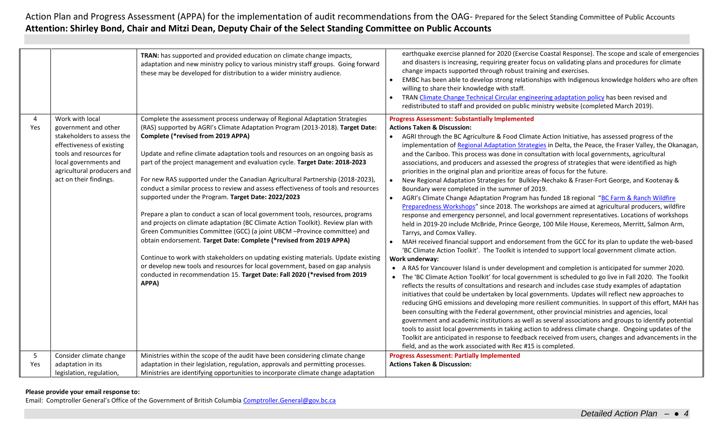|          |                                                                                                                                                                                                                | TRAN: has supported and provided education on climate change impacts,<br>adaptation and new ministry policy to various ministry staff groups. Going forward<br>these may be developed for distribution to a wider ministry audience.                                                                                                                                                                                                                                                                                                                                                                                                                                                                                                                                                                                                                                                                                                                                                                                                                                                                                                                                                          | earthquake exercise planned for 2020 (Exercise Coastal Response). The scope and scale of emergencies<br>and disasters is increasing, requiring greater focus on validating plans and procedures for climate<br>change impacts supported through robust training and exercises.<br>EMBC has been able to develop strong relationships with Indigenous knowledge holders who are often<br>willing to share their knowledge with staff.<br>TRAN Climate Change Technical Circular engineering adaptation policy has been revised and<br>redistributed to staff and provided on public ministry website (completed March 2019).                                                                                                                                                                                                                                                                                                                                                                                                                                                                                                                                                                                                                                                                                                                                                                                                                                                                                                                                                                                                                                                                                                                                                                                                                                                                                                                                                                                                                                                                                                                                                                                                                                                                                                                                                                                                            |
|----------|----------------------------------------------------------------------------------------------------------------------------------------------------------------------------------------------------------------|-----------------------------------------------------------------------------------------------------------------------------------------------------------------------------------------------------------------------------------------------------------------------------------------------------------------------------------------------------------------------------------------------------------------------------------------------------------------------------------------------------------------------------------------------------------------------------------------------------------------------------------------------------------------------------------------------------------------------------------------------------------------------------------------------------------------------------------------------------------------------------------------------------------------------------------------------------------------------------------------------------------------------------------------------------------------------------------------------------------------------------------------------------------------------------------------------|----------------------------------------------------------------------------------------------------------------------------------------------------------------------------------------------------------------------------------------------------------------------------------------------------------------------------------------------------------------------------------------------------------------------------------------------------------------------------------------------------------------------------------------------------------------------------------------------------------------------------------------------------------------------------------------------------------------------------------------------------------------------------------------------------------------------------------------------------------------------------------------------------------------------------------------------------------------------------------------------------------------------------------------------------------------------------------------------------------------------------------------------------------------------------------------------------------------------------------------------------------------------------------------------------------------------------------------------------------------------------------------------------------------------------------------------------------------------------------------------------------------------------------------------------------------------------------------------------------------------------------------------------------------------------------------------------------------------------------------------------------------------------------------------------------------------------------------------------------------------------------------------------------------------------------------------------------------------------------------------------------------------------------------------------------------------------------------------------------------------------------------------------------------------------------------------------------------------------------------------------------------------------------------------------------------------------------------------------------------------------------------------------------------------------------------|
| 4<br>Yes | Work with local<br>government and other<br>stakeholders to assess the<br>effectiveness of existing<br>tools and resources for<br>local governments and<br>agricultural producers and<br>act on their findings. | Complete the assessment process underway of Regional Adaptation Strategies<br>(RAS) supported by AGRI's Climate Adaptation Program (2013-2018). Target Date:<br>Complete (*revised from 2019 APPA)<br>Update and refine climate adaptation tools and resources on an ongoing basis as<br>part of the project management and evaluation cycle. Target Date: 2018-2023<br>For new RAS supported under the Canadian Agricultural Partnership (2018-2023),<br>conduct a similar process to review and assess effectiveness of tools and resources<br>supported under the Program. Target Date: 2022/2023<br>Prepare a plan to conduct a scan of local government tools, resources, programs<br>and projects on climate adaptation (BC Climate Action Toolkit). Review plan with<br>Green Communities Committee (GCC) (a joint UBCM -Province committee) and<br>obtain endorsement. Target Date: Complete (*revised from 2019 APPA)<br>Continue to work with stakeholders on updating existing materials. Update existing<br>or develop new tools and resources for local government, based on gap analysis<br>conducted in recommendation 15. Target Date: Fall 2020 (*revised from 2019<br>APPA) | <b>Progress Assessment: Substantially Implemented</b><br><b>Actions Taken &amp; Discussion:</b><br>AGRI through the BC Agriculture & Food Climate Action Initiative, has assessed progress of the<br>implementation of Regional Adaptation Strategies in Delta, the Peace, the Fraser Valley, the Okanagan,<br>and the Cariboo. This process was done in consultation with local governments, agricultural<br>associations, and producers and assessed the progress of strategies that were identified as high<br>priorities in the original plan and prioritize areas of focus for the future.<br>New Regional Adaptation Strategies for Bulkley-Nechako & Fraser-Fort George, and Kootenay &<br>Boundary were completed in the summer of 2019.<br>AGRI's Climate Change Adaptation Program has funded 18 regional "BC Farm & Ranch Wildfire<br>Preparedness Workshops" since 2018. The workshops are aimed at agricultural producers, wildfire<br>response and emergency personnel, and local government representatives. Locations of workshops<br>held in 2019-20 include McBride, Prince George, 100 Mile House, Keremeos, Merritt, Salmon Arm,<br>Tarrys, and Comox Valley.<br>MAH received financial support and endorsement from the GCC for its plan to update the web-based<br>'BC Climate Action Toolkit'. The Toolkit is intended to support local government climate action.<br>Work underway:<br>• A RAS for Vancouver Island is under development and completion is anticipated for summer 2020.<br>• The 'BC Climate Action Toolkit' for local government is scheduled to go live in Fall 2020. The Toolkit<br>reflects the results of consultations and research and includes case study examples of adaptation<br>initiatives that could be undertaken by local governments. Updates will reflect new approaches to<br>reducing GHG emissions and developing more resilient communities. In support of this effort, MAH has<br>been consulting with the Federal government, other provincial ministries and agencies, local<br>government and academic institutions as well as several associations and groups to identify potential<br>tools to assist local governments in taking action to address climate change. Ongoing updates of the<br>Toolkit are anticipated in response to feedback received from users, changes and advancements in the<br>field, and as the work associated with Rec #15 is completed. |
| 5        | Consider climate change                                                                                                                                                                                        | Ministries within the scope of the audit have been considering climate change                                                                                                                                                                                                                                                                                                                                                                                                                                                                                                                                                                                                                                                                                                                                                                                                                                                                                                                                                                                                                                                                                                                 | <b>Progress Assessment: Partially Implemented</b>                                                                                                                                                                                                                                                                                                                                                                                                                                                                                                                                                                                                                                                                                                                                                                                                                                                                                                                                                                                                                                                                                                                                                                                                                                                                                                                                                                                                                                                                                                                                                                                                                                                                                                                                                                                                                                                                                                                                                                                                                                                                                                                                                                                                                                                                                                                                                                                      |
| Yes      | adaptation in its                                                                                                                                                                                              | adaptation in their legislation, regulation, approvals and permitting processes.                                                                                                                                                                                                                                                                                                                                                                                                                                                                                                                                                                                                                                                                                                                                                                                                                                                                                                                                                                                                                                                                                                              | <b>Actions Taken &amp; Discussion:</b>                                                                                                                                                                                                                                                                                                                                                                                                                                                                                                                                                                                                                                                                                                                                                                                                                                                                                                                                                                                                                                                                                                                                                                                                                                                                                                                                                                                                                                                                                                                                                                                                                                                                                                                                                                                                                                                                                                                                                                                                                                                                                                                                                                                                                                                                                                                                                                                                 |
|          | legislation, regulation,                                                                                                                                                                                       | Ministries are identifying opportunities to incorporate climate change adaptation                                                                                                                                                                                                                                                                                                                                                                                                                                                                                                                                                                                                                                                                                                                                                                                                                                                                                                                                                                                                                                                                                                             |                                                                                                                                                                                                                                                                                                                                                                                                                                                                                                                                                                                                                                                                                                                                                                                                                                                                                                                                                                                                                                                                                                                                                                                                                                                                                                                                                                                                                                                                                                                                                                                                                                                                                                                                                                                                                                                                                                                                                                                                                                                                                                                                                                                                                                                                                                                                                                                                                                        |

## **Please provide your email response to:**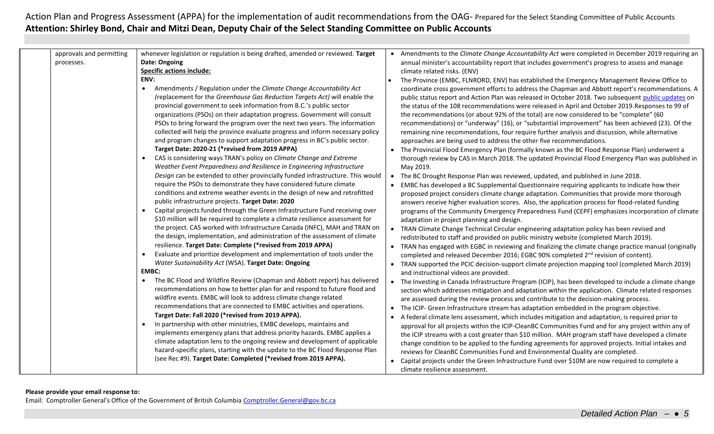| approvals and permitting | whenever legislation or regulation is being drafted, amended or reviewed. Target                                                                                                                                                                                                                                                                                                                                                                                                                                                                                                                                                                                                                                                                                                                                                                                                                                                                                                                                                                                                                                                                                                                                                                                                                                                                                                                                                                                                                                                                                                                                                                                                                                                                                                                                                                                                                                                                                                                                                                                                                                                                                                                                                                                                                                                                       |                        | • Amendments to the Climate Change Accountability Act were completed in December 2019 requiring an                                                                                                                                                                                                                                                                                                                                                                                                                                                                                                                                                                                                                                                                                                                                                                                                                                                                                                                                                                                                                                                                                                                                                                                                                                                                                                                                                                                                                                                                                                                                                                                                                                                                                                                                                                                                                                                                                                                                                                                                                                                                                                                                                                                                                                                                                                                                                                                                                                                                                                                                                                                                                                                                                                                                                                                                                    |
|--------------------------|--------------------------------------------------------------------------------------------------------------------------------------------------------------------------------------------------------------------------------------------------------------------------------------------------------------------------------------------------------------------------------------------------------------------------------------------------------------------------------------------------------------------------------------------------------------------------------------------------------------------------------------------------------------------------------------------------------------------------------------------------------------------------------------------------------------------------------------------------------------------------------------------------------------------------------------------------------------------------------------------------------------------------------------------------------------------------------------------------------------------------------------------------------------------------------------------------------------------------------------------------------------------------------------------------------------------------------------------------------------------------------------------------------------------------------------------------------------------------------------------------------------------------------------------------------------------------------------------------------------------------------------------------------------------------------------------------------------------------------------------------------------------------------------------------------------------------------------------------------------------------------------------------------------------------------------------------------------------------------------------------------------------------------------------------------------------------------------------------------------------------------------------------------------------------------------------------------------------------------------------------------------------------------------------------------------------------------------------------------|------------------------|-----------------------------------------------------------------------------------------------------------------------------------------------------------------------------------------------------------------------------------------------------------------------------------------------------------------------------------------------------------------------------------------------------------------------------------------------------------------------------------------------------------------------------------------------------------------------------------------------------------------------------------------------------------------------------------------------------------------------------------------------------------------------------------------------------------------------------------------------------------------------------------------------------------------------------------------------------------------------------------------------------------------------------------------------------------------------------------------------------------------------------------------------------------------------------------------------------------------------------------------------------------------------------------------------------------------------------------------------------------------------------------------------------------------------------------------------------------------------------------------------------------------------------------------------------------------------------------------------------------------------------------------------------------------------------------------------------------------------------------------------------------------------------------------------------------------------------------------------------------------------------------------------------------------------------------------------------------------------------------------------------------------------------------------------------------------------------------------------------------------------------------------------------------------------------------------------------------------------------------------------------------------------------------------------------------------------------------------------------------------------------------------------------------------------------------------------------------------------------------------------------------------------------------------------------------------------------------------------------------------------------------------------------------------------------------------------------------------------------------------------------------------------------------------------------------------------------------------------------------------------------------------------------------------------|
| processes.               | Date: Ongoing                                                                                                                                                                                                                                                                                                                                                                                                                                                                                                                                                                                                                                                                                                                                                                                                                                                                                                                                                                                                                                                                                                                                                                                                                                                                                                                                                                                                                                                                                                                                                                                                                                                                                                                                                                                                                                                                                                                                                                                                                                                                                                                                                                                                                                                                                                                                          |                        | annual minister's accountability report that includes government's progress to assess and manage                                                                                                                                                                                                                                                                                                                                                                                                                                                                                                                                                                                                                                                                                                                                                                                                                                                                                                                                                                                                                                                                                                                                                                                                                                                                                                                                                                                                                                                                                                                                                                                                                                                                                                                                                                                                                                                                                                                                                                                                                                                                                                                                                                                                                                                                                                                                                                                                                                                                                                                                                                                                                                                                                                                                                                                                                      |
|                          | <b>Specific actions include:</b>                                                                                                                                                                                                                                                                                                                                                                                                                                                                                                                                                                                                                                                                                                                                                                                                                                                                                                                                                                                                                                                                                                                                                                                                                                                                                                                                                                                                                                                                                                                                                                                                                                                                                                                                                                                                                                                                                                                                                                                                                                                                                                                                                                                                                                                                                                                       |                        | climate related risks. (ENV)                                                                                                                                                                                                                                                                                                                                                                                                                                                                                                                                                                                                                                                                                                                                                                                                                                                                                                                                                                                                                                                                                                                                                                                                                                                                                                                                                                                                                                                                                                                                                                                                                                                                                                                                                                                                                                                                                                                                                                                                                                                                                                                                                                                                                                                                                                                                                                                                                                                                                                                                                                                                                                                                                                                                                                                                                                                                                          |
|                          | ENV:                                                                                                                                                                                                                                                                                                                                                                                                                                                                                                                                                                                                                                                                                                                                                                                                                                                                                                                                                                                                                                                                                                                                                                                                                                                                                                                                                                                                                                                                                                                                                                                                                                                                                                                                                                                                                                                                                                                                                                                                                                                                                                                                                                                                                                                                                                                                                   |                        | The Province (EMBC, FLNRORD, ENV) has established the Emergency Management Review Office to                                                                                                                                                                                                                                                                                                                                                                                                                                                                                                                                                                                                                                                                                                                                                                                                                                                                                                                                                                                                                                                                                                                                                                                                                                                                                                                                                                                                                                                                                                                                                                                                                                                                                                                                                                                                                                                                                                                                                                                                                                                                                                                                                                                                                                                                                                                                                                                                                                                                                                                                                                                                                                                                                                                                                                                                                           |
|                          | Amendments / Regulation under the Climate Change Accountability Act<br>$\bullet$<br>(replacement for the Greenhouse Gas Reduction Targets Act) will enable the<br>provincial government to seek information from B.C.'s public sector<br>organizations (PSOs) on their adaptation progress. Government will consult<br>PSOs to bring forward the program over the next two years. The information<br>collected will help the province evaluate progress and inform necessary policy<br>and program changes to support adaptation progress in BC's public sector.<br>Target Date: 2020-21 (*revised from 2019 APPA)<br>CAS is considering ways TRAN's policy on Climate Change and Extreme<br>$\bullet$<br>Weather Event Preparedness and Resilience in Engineering Infrastructure<br>Design can be extended to other provincially funded infrastructure. This would<br>require the PSOs to demonstrate they have considered future climate<br>conditions and extreme weather events in the design of new and retrofitted<br>public infrastructure projects. Target Date: 2020<br>Capital projects funded through the Green Infrastructure Fund receiving over<br>$\bullet$<br>\$10 million will be required to complete a climate resilience assessment for<br>the project. CAS worked with Infrastructure Canada (INFC), MAH and TRAN on<br>the design, implementation, and administration of the assessment of climate<br>resilience. Target Date: Complete (*revised from 2019 APPA)<br>Evaluate and prioritize development and implementation of tools under the<br>Water Sustainability Act (WSA). Target Date: Ongoing<br><b>EMBC:</b><br>The BC Flood and Wildfire Review (Chapman and Abbott report) has delivered<br>$\bullet$<br>recommendations on how to better plan for and respond to future flood and<br>wildfire events. EMBC will look to address climate change related<br>recommendations that are connected to EMBC activities and operations.<br>Target Date: Fall 2020 (*revised from 2019 APPA).<br>In partnership with other ministries, EMBC develops, maintains and<br>$\bullet$<br>implements emergency plans that address priority hazards. EMBC applies a<br>climate adaptation lens to the ongoing review and development of applicable<br>hazard-specific plans, starting with the update to the BC Flood Response Plan | $\bullet$<br>$\bullet$ | coordinate cross government efforts to address the Chapman and Abbott report's recommendations. A<br>public status report and Action Plan was released in October 2018. Two subsequent public updates on<br>the status of the 108 recommendations were released in April and October 2019. Responses to 99 of<br>the recommendations (or about 92% of the total) are now considered to be "complete" (60<br>recommendations) or "underway" (16), or "substantial improvement" has been achieved (23). Of the<br>remaining nine recommendations, four require further analysis and discussion, while alternative<br>approaches are being used to address the other five recommendations.<br>The Provincial Flood Emergency Plan (formally known as the BC Flood Response Plan) underwent a<br>thorough review by CAS in March 2018. The updated Provincial Flood Emergency Plan was published in<br>May 2019.<br>The BC Drought Response Plan was reviewed, updated, and published in June 2018.<br>EMBC has developed a BC Supplemental Questionnaire requiring applicants to indicate how their<br>proposed project considers climate change adaptation. Communities that provide more thorough<br>answers receive higher evaluation scores. Also, the application process for flood-related funding<br>programs of the Community Emergency Preparedness Fund (CEPF) emphasizes incorporation of climate<br>adaptation in project planning and design.<br>TRAN Climate Change Technical Circular engineering adaptation policy has been revised and<br>redistributed to staff and provided on public ministry website (completed March 2019).<br>TRAN has engaged with EGBC in reviewing and finalizing the climate change practice manual (originally<br>completed and released December 2016; EGBC 90% completed 2 <sup>nd</sup> revision of content).<br>TRAN supported the PCIC decision-support climate projection mapping tool (completed March 2019)<br>and instructional videos are provided.<br>The Investing in Canada Infrastructure Program (ICIP), has been developed to include a climate change<br>section which addresses mitigation and adaptation within the application. Climate related responses<br>are assessed during the review process and contribute to the decision-making process.<br>The ICIP- Green Infrastructure stream has adaptation embedded in the program objective.<br>A federal climate lens assessment, which includes mitigation and adaptation, is required prior to<br>approval for all projects within the ICIP-CleanBC Communities Fund and for any project within any of<br>the ICIP streams with a cost greater than \$10 million. MAH program staff have developed a climate<br>change condition to be applied to the funding agreements for approved projects. Initial intakes and<br>reviews for CleanBC Communities Fund and Environmental Quality are completed. |
|                          | (see Rec #9). Target Date: Completed (*revised from 2019 APPA).                                                                                                                                                                                                                                                                                                                                                                                                                                                                                                                                                                                                                                                                                                                                                                                                                                                                                                                                                                                                                                                                                                                                                                                                                                                                                                                                                                                                                                                                                                                                                                                                                                                                                                                                                                                                                                                                                                                                                                                                                                                                                                                                                                                                                                                                                        |                        | Capital projects under the Green Infrastructure Fund over \$10M are now required to complete a                                                                                                                                                                                                                                                                                                                                                                                                                                                                                                                                                                                                                                                                                                                                                                                                                                                                                                                                                                                                                                                                                                                                                                                                                                                                                                                                                                                                                                                                                                                                                                                                                                                                                                                                                                                                                                                                                                                                                                                                                                                                                                                                                                                                                                                                                                                                                                                                                                                                                                                                                                                                                                                                                                                                                                                                                        |
|                          |                                                                                                                                                                                                                                                                                                                                                                                                                                                                                                                                                                                                                                                                                                                                                                                                                                                                                                                                                                                                                                                                                                                                                                                                                                                                                                                                                                                                                                                                                                                                                                                                                                                                                                                                                                                                                                                                                                                                                                                                                                                                                                                                                                                                                                                                                                                                                        |                        | climate resilience assessment.                                                                                                                                                                                                                                                                                                                                                                                                                                                                                                                                                                                                                                                                                                                                                                                                                                                                                                                                                                                                                                                                                                                                                                                                                                                                                                                                                                                                                                                                                                                                                                                                                                                                                                                                                                                                                                                                                                                                                                                                                                                                                                                                                                                                                                                                                                                                                                                                                                                                                                                                                                                                                                                                                                                                                                                                                                                                                        |

### **Please provide your email response to:**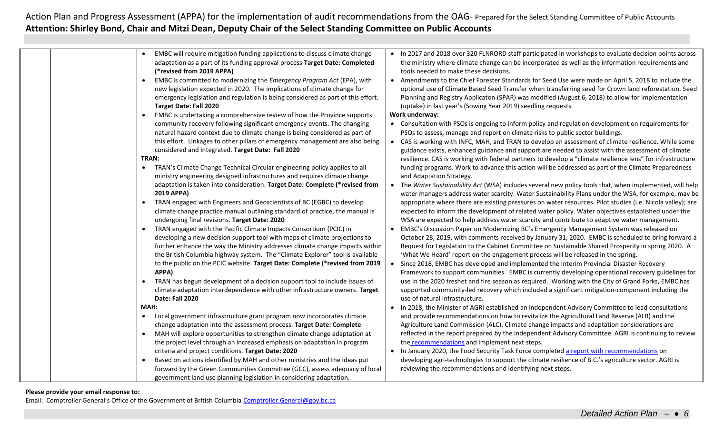|  | EMBC will require mitigation funding applications to discuss climate change<br>adaptation as a part of its funding approval process Target Date: Completed<br>(*revised from 2019 APPA)<br>EMBC is committed to modernizing the Emergency Program Act (EPA), with                                                                                                                                          | • In 2017 and 2018 over 320 FLNRORD staff participated in workshops to evaluate decision points across<br>the ministry where climate change can be incorporated as well as the information requirements and<br>tools needed to make these decisions.<br>• Amendments to the Chief Forester Standards for Seed Use were made on April 5, 2018 to include the                                                                                                                                                                                                                               |
|--|------------------------------------------------------------------------------------------------------------------------------------------------------------------------------------------------------------------------------------------------------------------------------------------------------------------------------------------------------------------------------------------------------------|-------------------------------------------------------------------------------------------------------------------------------------------------------------------------------------------------------------------------------------------------------------------------------------------------------------------------------------------------------------------------------------------------------------------------------------------------------------------------------------------------------------------------------------------------------------------------------------------|
|  | new legislation expected in 2020. The implications of climate change for<br>emergency legislation and regulation is being considered as part of this effort.<br><b>Target Date: Fall 2020</b>                                                                                                                                                                                                              | optional use of Climate Based Seed Transfer when transferring seed for Crown land reforestation. Seed<br>Planning and Registry Applicaton (SPAR) was modified (August 6, 2018) to allow for implementation<br>(uptake) in last year's (Sowing Year 2019) seedling requests.                                                                                                                                                                                                                                                                                                               |
|  | EMBC is undertaking a comprehensive review of how the Province supports                                                                                                                                                                                                                                                                                                                                    | Work underway:                                                                                                                                                                                                                                                                                                                                                                                                                                                                                                                                                                            |
|  | community recovery following significant emergency events. The changing<br>natural hazard context due to climate change is being considered as part of<br>this effort. Linkages to other pillars of emergency management are also being                                                                                                                                                                    | • Consultation with PSOs is ongoing to inform policy and regulation development on requirements for<br>PSOs to assess, manage and report on climate risks to public sector buildings.<br>• CAS is working with INFC, MAH, and TRAN to develop an assessment of climate resilience. While some                                                                                                                                                                                                                                                                                             |
|  | considered and integrated. Target Date: Fall 2020<br>TRAN:                                                                                                                                                                                                                                                                                                                                                 | guidance exists, enhanced guidance and support are needed to assist with the assessment of climate                                                                                                                                                                                                                                                                                                                                                                                                                                                                                        |
|  | • TRAN's Climate Change Technical Circular engineering policy applies to all<br>ministry engineering designed infrastructures and requires climate change                                                                                                                                                                                                                                                  | resilience. CAS is working with federal partners to develop a "climate resilience lens" for infrastructure<br>funding programs. Work to advance this action will be addressed as part of the Climate Preparedness<br>and Adaptation Strategy.                                                                                                                                                                                                                                                                                                                                             |
|  | adaptation is taken into consideration. Target Date: Complete (*revised from<br>2019 APPA)                                                                                                                                                                                                                                                                                                                 | • The Water Sustainability Act (WSA) includes several new policy tools that, when implemented, will help<br>water managers address water scarcity. Water Sustainability Plans under the WSA, for example, may be                                                                                                                                                                                                                                                                                                                                                                          |
|  | TRAN engaged with Engineers and Geoscientists of BC (EGBC) to develop<br>climate change practice manual outlining standard of practice, the manual is<br>undergoing final revisions. Target Date: 2020                                                                                                                                                                                                     | appropriate where there are existing pressures on water resources. Pilot studies (i.e. Nicola valley); are<br>expected to inform the development of related water policy. Water objectives established under the<br>WSA are expected to help address water scarcity and contribute to adaptive water management.                                                                                                                                                                                                                                                                          |
|  | TRAN engaged with the Pacific Climate Impacts Consortium (PCIC) in<br>developing a new decision support tool with maps of climate projections to<br>further enhance the way the Ministry addresses climate change impacts within<br>the British Columbia highway system. The "Climate Explorer" tool is available<br>to the public on the PCIC website. Target Date: Complete (*revised from 2019<br>APPA) | EMBC's Discussion Paper on Modernizing BC's Emergency Management System was released on<br>October 28, 2019, with comments received by January 31, 2020. EMBC is scheduled to bring forward a<br>Request for Legislation to the Cabinet Committee on Sustainable Shared Prosperity in spring 2020. A<br>'What We Heard' report on the engagement process will be released in the spring.<br>Since 2018, EMBC has developed and implemented the Interim Provincial Disaster Recovery<br>Framework to support communities. EMBC is currently developing operational recovery guidelines for |
|  | TRAN has begun development of a decision support tool to include issues of<br>climate adaptation interdependence with other infrastructure owners. Target<br>Date: Fall 2020                                                                                                                                                                                                                               | use in the 2020 freshet and fire season as required. Working with the City of Grand Forks, EMBC has<br>supported community-led recovery which included a significant mitigation-component including the<br>use of natural infrastructure.                                                                                                                                                                                                                                                                                                                                                 |
|  | MAH:                                                                                                                                                                                                                                                                                                                                                                                                       | . In 2018, the Minister of AGRI established an independent Advisory Committee to lead consultations                                                                                                                                                                                                                                                                                                                                                                                                                                                                                       |
|  | • Local government infrastructure grant program now incorporates climate<br>change adaptation into the assessment process. Target Date: Complete                                                                                                                                                                                                                                                           | and provide recommendations on how to revitalize the Agricultural Land Reserve (ALR) and the<br>Agriculture Land Commission (ALC). Climate change impacts and adaptation considerations are                                                                                                                                                                                                                                                                                                                                                                                               |
|  | • MAH will explore opportunities to strengthen climate change adaptation at<br>the project level through an increased emphasis on adaptation in program                                                                                                                                                                                                                                                    | reflected in the report prepared by the independent Advisory Committee. AGRI is continuing to review<br>the recommendations and implement next steps.                                                                                                                                                                                                                                                                                                                                                                                                                                     |
|  | criteria and project conditions. Target Date: 2020                                                                                                                                                                                                                                                                                                                                                         | • In January 2020, the Food Security Task Force completed a report with recommendations on                                                                                                                                                                                                                                                                                                                                                                                                                                                                                                |
|  | Based on actions identified by MAH and other ministries and the ideas put<br>forward by the Green Communities Committee (GCC), assess adequacy of local<br>government land use planning legislation in considering adaptation.                                                                                                                                                                             | developing agri-technologies to support the climate resilience of B.C.'s agriculture sector. AGRI is<br>reviewing the recommendations and identifying next steps.                                                                                                                                                                                                                                                                                                                                                                                                                         |

### **Please provide your email response to:**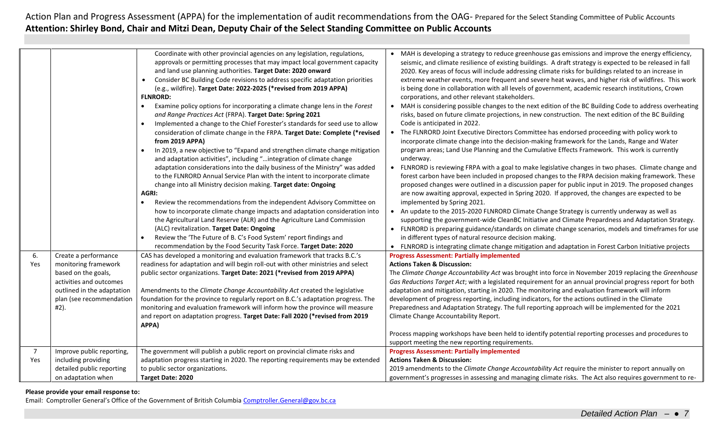|                |                                                                              | Coordinate with other provincial agencies on any legislation, regulations,<br>approvals or permitting processes that may impact local government capacity<br>and land use planning authorities. Target Date: 2020 onward<br>Consider BC Building Code revisions to address specific adaptation priorities<br>(e.g., wildfire). Target Date: 2022-2025 (*revised from 2019 APPA)<br><b>FLNRORD:</b><br>Examine policy options for incorporating a climate change lens in the Forest<br>and Range Practices Act (FRPA). Target Date: Spring 2021<br>Implemented a change to the Chief Forester's standards for seed use to allow<br>consideration of climate change in the FRPA. Target Date: Complete (*revised<br>from 2019 APPA)<br>In 2019, a new objective to "Expand and strengthen climate change mitigation<br>and adaptation activities", including "integration of climate change<br>adaptation considerations into the daily business of the Ministry" was added<br>to the FLNRORD Annual Service Plan with the intent to incorporate climate<br>change into all Ministry decision making. Target date: Ongoing<br>AGRI:<br>Review the recommendations from the independent Advisory Committee on<br>how to incorporate climate change impacts and adaptation consideration into<br>the Agricultural Land Reserve (ALR) and the Agriculture Land Commission<br>(ALC) revitalization. Target Date: Ongoing<br>Review the 'The Future of B. C's Food System' report findings and<br>recommendation by the Food Security Task Force. Target Date: 2020 | • MAH is developing a strategy to reduce greenhouse gas emissions and improve the energy efficiency,<br>seismic, and climate resilience of existing buildings. A draft strategy is expected to be released in fall<br>2020. Key areas of focus will include addressing climate risks for buildings related to an increase in<br>extreme weather events, more frequent and severe heat waves, and higher risk of wildfires. This work<br>is being done in collaboration with all levels of government, academic research institutions, Crown<br>corporations, and other relevant stakeholders.<br>• MAH is considering possible changes to the next edition of the BC Building Code to address overheating<br>risks, based on future climate projections, in new construction. The next edition of the BC Building<br>Code is anticipated in 2022.<br>• The FLNRORD Joint Executive Directors Committee has endorsed proceeding with policy work to<br>incorporate climate change into the decision-making framework for the Lands, Range and Water<br>program areas; Land Use Planning and the Cumulative Effects Framework. This work is currently<br>underway.<br>• FLNRORD is reviewing FRPA with a goal to make legislative changes in two phases. Climate change and<br>forest carbon have been included in proposed changes to the FRPA decision making framework. These<br>proposed changes were outlined in a discussion paper for public input in 2019. The proposed changes<br>are now awaiting approval, expected in Spring 2020. If approved, the changes are expected to be<br>implemented by Spring 2021.<br>. An update to the 2015-2020 FLNRORD Climate Change Strategy is currently underway as well as<br>supporting the government-wide CleanBC Initiative and Climate Prepardness and Adaptation Strategy.<br>• FLNRORD is preparing guidance/standards on climate change scenarios, models and timeframes for use<br>in different types of natural resource decision making.<br>• FLNRORD is integrating climate change mitigation and adaptation in Forest Carbon Initiative projects |
|----------------|------------------------------------------------------------------------------|--------------------------------------------------------------------------------------------------------------------------------------------------------------------------------------------------------------------------------------------------------------------------------------------------------------------------------------------------------------------------------------------------------------------------------------------------------------------------------------------------------------------------------------------------------------------------------------------------------------------------------------------------------------------------------------------------------------------------------------------------------------------------------------------------------------------------------------------------------------------------------------------------------------------------------------------------------------------------------------------------------------------------------------------------------------------------------------------------------------------------------------------------------------------------------------------------------------------------------------------------------------------------------------------------------------------------------------------------------------------------------------------------------------------------------------------------------------------------------------------------------------------------------------------------------------|-------------------------------------------------------------------------------------------------------------------------------------------------------------------------------------------------------------------------------------------------------------------------------------------------------------------------------------------------------------------------------------------------------------------------------------------------------------------------------------------------------------------------------------------------------------------------------------------------------------------------------------------------------------------------------------------------------------------------------------------------------------------------------------------------------------------------------------------------------------------------------------------------------------------------------------------------------------------------------------------------------------------------------------------------------------------------------------------------------------------------------------------------------------------------------------------------------------------------------------------------------------------------------------------------------------------------------------------------------------------------------------------------------------------------------------------------------------------------------------------------------------------------------------------------------------------------------------------------------------------------------------------------------------------------------------------------------------------------------------------------------------------------------------------------------------------------------------------------------------------------------------------------------------------------------------------------------------------------------------------------------------------------------------------------------------------------------------------------------------|
| 6.             | Create a performance                                                         | CAS has developed a monitoring and evaluation framework that tracks B.C.'s                                                                                                                                                                                                                                                                                                                                                                                                                                                                                                                                                                                                                                                                                                                                                                                                                                                                                                                                                                                                                                                                                                                                                                                                                                                                                                                                                                                                                                                                                   | <b>Progress Assessment: Partially implemented</b>                                                                                                                                                                                                                                                                                                                                                                                                                                                                                                                                                                                                                                                                                                                                                                                                                                                                                                                                                                                                                                                                                                                                                                                                                                                                                                                                                                                                                                                                                                                                                                                                                                                                                                                                                                                                                                                                                                                                                                                                                                                           |
| Yes            | monitoring framework                                                         | readiness for adaptation and will begin roll-out with other ministries and select                                                                                                                                                                                                                                                                                                                                                                                                                                                                                                                                                                                                                                                                                                                                                                                                                                                                                                                                                                                                                                                                                                                                                                                                                                                                                                                                                                                                                                                                            | <b>Actions Taken &amp; Discussion:</b>                                                                                                                                                                                                                                                                                                                                                                                                                                                                                                                                                                                                                                                                                                                                                                                                                                                                                                                                                                                                                                                                                                                                                                                                                                                                                                                                                                                                                                                                                                                                                                                                                                                                                                                                                                                                                                                                                                                                                                                                                                                                      |
|                | based on the goals,<br>activities and outcomes<br>outlined in the adaptation | public sector organizations. Target Date: 2021 (*revised from 2019 APPA)<br>Amendments to the Climate Change Accountability Act created the legislative                                                                                                                                                                                                                                                                                                                                                                                                                                                                                                                                                                                                                                                                                                                                                                                                                                                                                                                                                                                                                                                                                                                                                                                                                                                                                                                                                                                                      | The Climate Change Accountability Act was brought into force in November 2019 replacing the Greenhouse<br>Gas Reductions Target Act; with a legislated requirement for an annual provincial progress report for both<br>adaptation and mitigation, starting in 2020. The monitoring and evaluation framework will inform                                                                                                                                                                                                                                                                                                                                                                                                                                                                                                                                                                                                                                                                                                                                                                                                                                                                                                                                                                                                                                                                                                                                                                                                                                                                                                                                                                                                                                                                                                                                                                                                                                                                                                                                                                                    |
|                | plan (see recommendation                                                     | foundation for the province to regularly report on B.C.'s adaptation progress. The                                                                                                                                                                                                                                                                                                                                                                                                                                                                                                                                                                                                                                                                                                                                                                                                                                                                                                                                                                                                                                                                                                                                                                                                                                                                                                                                                                                                                                                                           | development of progress reporting, including indicators, for the actions outlined in the Climate                                                                                                                                                                                                                                                                                                                                                                                                                                                                                                                                                                                                                                                                                                                                                                                                                                                                                                                                                                                                                                                                                                                                                                                                                                                                                                                                                                                                                                                                                                                                                                                                                                                                                                                                                                                                                                                                                                                                                                                                            |
|                | #2).                                                                         | monitoring and evaluation framework will inform how the province will measure                                                                                                                                                                                                                                                                                                                                                                                                                                                                                                                                                                                                                                                                                                                                                                                                                                                                                                                                                                                                                                                                                                                                                                                                                                                                                                                                                                                                                                                                                | Preparedness and Adaptation Strategy. The full reporting approach will be implemented for the 2021                                                                                                                                                                                                                                                                                                                                                                                                                                                                                                                                                                                                                                                                                                                                                                                                                                                                                                                                                                                                                                                                                                                                                                                                                                                                                                                                                                                                                                                                                                                                                                                                                                                                                                                                                                                                                                                                                                                                                                                                          |
|                |                                                                              | and report on adaptation progress. Target Date: Fall 2020 (*revised from 2019<br>APPA)                                                                                                                                                                                                                                                                                                                                                                                                                                                                                                                                                                                                                                                                                                                                                                                                                                                                                                                                                                                                                                                                                                                                                                                                                                                                                                                                                                                                                                                                       | Climate Change Accountability Report.                                                                                                                                                                                                                                                                                                                                                                                                                                                                                                                                                                                                                                                                                                                                                                                                                                                                                                                                                                                                                                                                                                                                                                                                                                                                                                                                                                                                                                                                                                                                                                                                                                                                                                                                                                                                                                                                                                                                                                                                                                                                       |
|                |                                                                              |                                                                                                                                                                                                                                                                                                                                                                                                                                                                                                                                                                                                                                                                                                                                                                                                                                                                                                                                                                                                                                                                                                                                                                                                                                                                                                                                                                                                                                                                                                                                                              | Process mapping workshops have been held to identify potential reporting processes and procedures to<br>support meeting the new reporting requirements.                                                                                                                                                                                                                                                                                                                                                                                                                                                                                                                                                                                                                                                                                                                                                                                                                                                                                                                                                                                                                                                                                                                                                                                                                                                                                                                                                                                                                                                                                                                                                                                                                                                                                                                                                                                                                                                                                                                                                     |
| $\overline{7}$ | Improve public reporting,                                                    | The government will publish a public report on provincial climate risks and                                                                                                                                                                                                                                                                                                                                                                                                                                                                                                                                                                                                                                                                                                                                                                                                                                                                                                                                                                                                                                                                                                                                                                                                                                                                                                                                                                                                                                                                                  | <b>Progress Assessment: Partially implemented</b>                                                                                                                                                                                                                                                                                                                                                                                                                                                                                                                                                                                                                                                                                                                                                                                                                                                                                                                                                                                                                                                                                                                                                                                                                                                                                                                                                                                                                                                                                                                                                                                                                                                                                                                                                                                                                                                                                                                                                                                                                                                           |
| Yes            | including providing                                                          | adaptation progress starting in 2020. The reporting requirements may be extended                                                                                                                                                                                                                                                                                                                                                                                                                                                                                                                                                                                                                                                                                                                                                                                                                                                                                                                                                                                                                                                                                                                                                                                                                                                                                                                                                                                                                                                                             | <b>Actions Taken &amp; Discussion:</b>                                                                                                                                                                                                                                                                                                                                                                                                                                                                                                                                                                                                                                                                                                                                                                                                                                                                                                                                                                                                                                                                                                                                                                                                                                                                                                                                                                                                                                                                                                                                                                                                                                                                                                                                                                                                                                                                                                                                                                                                                                                                      |
|                | detailed public reporting                                                    | to public sector organizations.                                                                                                                                                                                                                                                                                                                                                                                                                                                                                                                                                                                                                                                                                                                                                                                                                                                                                                                                                                                                                                                                                                                                                                                                                                                                                                                                                                                                                                                                                                                              | 2019 amendments to the Climate Change Accountability Act require the minister to report annually on                                                                                                                                                                                                                                                                                                                                                                                                                                                                                                                                                                                                                                                                                                                                                                                                                                                                                                                                                                                                                                                                                                                                                                                                                                                                                                                                                                                                                                                                                                                                                                                                                                                                                                                                                                                                                                                                                                                                                                                                         |
|                | on adaptation when                                                           | Target Date: 2020                                                                                                                                                                                                                                                                                                                                                                                                                                                                                                                                                                                                                                                                                                                                                                                                                                                                                                                                                                                                                                                                                                                                                                                                                                                                                                                                                                                                                                                                                                                                            | government's progresses in assessing and managing climate risks. The Act also requires government to re-                                                                                                                                                                                                                                                                                                                                                                                                                                                                                                                                                                                                                                                                                                                                                                                                                                                                                                                                                                                                                                                                                                                                                                                                                                                                                                                                                                                                                                                                                                                                                                                                                                                                                                                                                                                                                                                                                                                                                                                                    |

### **Please provide your email response to:**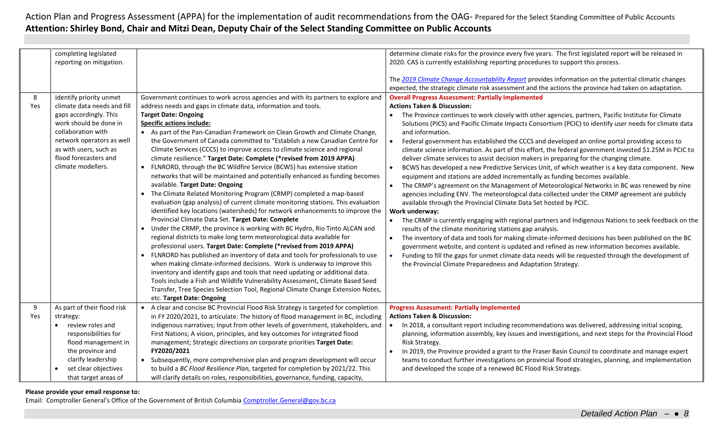|          | completing legislated<br>reporting on mitigation.                                                                                                                                                                                      |                                                                                                                                                                                                                                                                                                                                                                                                                                                                                                                                                                                                                                                                                                                                                                                                                                                                                                                                                                                                                                                                                                                                                                                                                                                                                                                                                                                                                                                                                                                                                                                                                    | determine climate risks for the province every five years. The first legislated report will be released in<br>2020. CAS is currently establishing reporting procedures to support this process.                                                                                                                                                                                                                                                                                                                                                                                                                                                                                                                                                                                                                                                                                                                                                                                                                                                                                                                                                                                                                                                                                                                                                                                                                                                                                                                                                                                                                                                                                                                 |
|----------|----------------------------------------------------------------------------------------------------------------------------------------------------------------------------------------------------------------------------------------|--------------------------------------------------------------------------------------------------------------------------------------------------------------------------------------------------------------------------------------------------------------------------------------------------------------------------------------------------------------------------------------------------------------------------------------------------------------------------------------------------------------------------------------------------------------------------------------------------------------------------------------------------------------------------------------------------------------------------------------------------------------------------------------------------------------------------------------------------------------------------------------------------------------------------------------------------------------------------------------------------------------------------------------------------------------------------------------------------------------------------------------------------------------------------------------------------------------------------------------------------------------------------------------------------------------------------------------------------------------------------------------------------------------------------------------------------------------------------------------------------------------------------------------------------------------------------------------------------------------------|-----------------------------------------------------------------------------------------------------------------------------------------------------------------------------------------------------------------------------------------------------------------------------------------------------------------------------------------------------------------------------------------------------------------------------------------------------------------------------------------------------------------------------------------------------------------------------------------------------------------------------------------------------------------------------------------------------------------------------------------------------------------------------------------------------------------------------------------------------------------------------------------------------------------------------------------------------------------------------------------------------------------------------------------------------------------------------------------------------------------------------------------------------------------------------------------------------------------------------------------------------------------------------------------------------------------------------------------------------------------------------------------------------------------------------------------------------------------------------------------------------------------------------------------------------------------------------------------------------------------------------------------------------------------------------------------------------------------|
|          |                                                                                                                                                                                                                                        |                                                                                                                                                                                                                                                                                                                                                                                                                                                                                                                                                                                                                                                                                                                                                                                                                                                                                                                                                                                                                                                                                                                                                                                                                                                                                                                                                                                                                                                                                                                                                                                                                    | The 2019 Climate Change Accountability Report provides information on the potential climatic changes<br>expected, the strategic climate risk assessment and the actions the province had taken on adaptation.                                                                                                                                                                                                                                                                                                                                                                                                                                                                                                                                                                                                                                                                                                                                                                                                                                                                                                                                                                                                                                                                                                                                                                                                                                                                                                                                                                                                                                                                                                   |
| 8<br>Yes | Identify priority unmet<br>climate data needs and fill<br>gaps accordingly. This<br>work should be done in<br>collaboration with<br>network operators as well<br>as with users, such as<br>flood forecasters and<br>climate modellers. | Government continues to work across agencies and with its partners to explore and<br>address needs and gaps in climate data, information and tools.<br><b>Target Date: Ongoing</b><br><b>Specific actions include:</b><br>• As part of the Pan-Canadian Framework on Clean Growth and Climate Change,<br>the Government of Canada committed to "Establish a new Canadian Centre for<br>Climate Services (CCCS) to improve access to climate science and regional<br>climate resilience." Target Date: Complete (*revised from 2019 APPA)<br>FLNRORD, through the BC Wildfire Service (BCWS) has extensive station<br>networks that will be maintained and potentially enhanced as funding becomes<br>available. Target Date: Ongoing<br>The Climate Related Monitoring Program (CRMP) completed a map-based<br>evaluation (gap analysis) of current climate monitoring stations. This evaluation<br>identified key locations (watersheds) for network enhancements to improve the<br>Provincial Climate Data Set. Target Date: Complete<br>Under the CRMP, the province is working with BC Hydro, Rio Tinto ALCAN and<br>$\bullet$<br>regional districts to make long term meteorological data available for<br>professional users. Target Date: Complete (*revised from 2019 APPA)<br>FLNRORD has published an inventory of data and tools for professionals to use<br>when making climate-informed decisions. Work is underway to improve this<br>inventory and identify gaps and tools that need updating or additional data.<br>Tools include a Fish and Wildlife Vulnerability Assessment, Climate Based Seed | <b>Overall Progress Assessment: Partially Implemented</b><br><b>Actions Taken &amp; Discussion:</b><br>• The Province continues to work closely with other agencies, partners, Pacific Institute for Climate<br>Solutions (PICS) and Pacific Climate Impacts Consortium (PCIC) to identify user needs for climate data<br>and information.<br>Federal government has established the CCCS and developed an online portal providing access to<br>$\bullet$<br>climate science information. As part of this effort, the federal government invested \$1.25M in PCIC to<br>deliver climate services to assist decision makers in preparing for the changing climate.<br>BCWS has developed a new Predictive Services Unit, of which weather is a key data component. New<br>$\bullet$<br>equipment and stations are added incrementally as funding becomes available.<br>The CRMP's agreement on the Management of Meteorological Networks in BC was renewed by nine<br>agencies including ENV. The meteorological data collected under the CRMP agreement are publicly<br>available through the Provincial Climate Data Set hosted by PCIC.<br>Work underway:<br>• The CRMP is currently engaging with regional partners and Indigenous Nations to seek feedback on the<br>results of the climate monitoring stations gap analysis.<br>The inventory of data and tools for making climate-informed decisions has been published on the BC<br>government website, and content is updated and refined as new information becomes available.<br>• Funding to fill the gaps for unmet climate data needs will be requested through the development of<br>the Provincial Climate Preparedness and Adaptation Strategy. |
|          |                                                                                                                                                                                                                                        | Transfer, Tree Species Selection Tool, Regional Climate Change Extension Notes,<br>etc. Target Date: Ongoing                                                                                                                                                                                                                                                                                                                                                                                                                                                                                                                                                                                                                                                                                                                                                                                                                                                                                                                                                                                                                                                                                                                                                                                                                                                                                                                                                                                                                                                                                                       |                                                                                                                                                                                                                                                                                                                                                                                                                                                                                                                                                                                                                                                                                                                                                                                                                                                                                                                                                                                                                                                                                                                                                                                                                                                                                                                                                                                                                                                                                                                                                                                                                                                                                                                 |
| 9<br>Yes | As part of their flood risk<br>strategy:                                                                                                                                                                                               | • A clear and concise BC Provincial Flood Risk Strategy is targeted for completion<br>in FY 2020/2021, to articulate: The history of flood management in BC, including                                                                                                                                                                                                                                                                                                                                                                                                                                                                                                                                                                                                                                                                                                                                                                                                                                                                                                                                                                                                                                                                                                                                                                                                                                                                                                                                                                                                                                             | <b>Progress Assessment: Partially Implemented</b><br><b>Actions Taken &amp; Discussion:</b>                                                                                                                                                                                                                                                                                                                                                                                                                                                                                                                                                                                                                                                                                                                                                                                                                                                                                                                                                                                                                                                                                                                                                                                                                                                                                                                                                                                                                                                                                                                                                                                                                     |
|          | review roles and<br>$\bullet$<br>responsibilities for<br>flood management in                                                                                                                                                           | indigenous narratives; Input from other levels of government, stakeholders, and<br>First Nations; A vision, principles, and key outcomes for integrated flood<br>management; Strategic directions on corporate priorities Target Date:                                                                                                                                                                                                                                                                                                                                                                                                                                                                                                                                                                                                                                                                                                                                                                                                                                                                                                                                                                                                                                                                                                                                                                                                                                                                                                                                                                             | • In 2018, a consultant report including recommendations was delivered, addressing initial scoping,<br>planning, information assembly, key issues and investigations, and next steps for the Provincial Flood<br>Risk Strategy.                                                                                                                                                                                                                                                                                                                                                                                                                                                                                                                                                                                                                                                                                                                                                                                                                                                                                                                                                                                                                                                                                                                                                                                                                                                                                                                                                                                                                                                                                 |
|          | the province and<br>clarify leadership<br>set clear objectives<br>that target areas of                                                                                                                                                 | FY2020/2021<br>Subsequently, more comprehensive plan and program development will occur<br>to build a BC Flood Resilience Plan, targeted for completion by 2021/22. This<br>will clarify details on roles, responsibilities, governance, funding, capacity,                                                                                                                                                                                                                                                                                                                                                                                                                                                                                                                                                                                                                                                                                                                                                                                                                                                                                                                                                                                                                                                                                                                                                                                                                                                                                                                                                        | In 2019, the Province provided a grant to the Fraser Basin Council to coordinate and manage expert<br>teams to conduct further investigations on provincial flood strategies, planning, and implementation<br>and developed the scope of a renewed BC Flood Risk Strategy.                                                                                                                                                                                                                                                                                                                                                                                                                                                                                                                                                                                                                                                                                                                                                                                                                                                                                                                                                                                                                                                                                                                                                                                                                                                                                                                                                                                                                                      |

**Please provide your email response to:**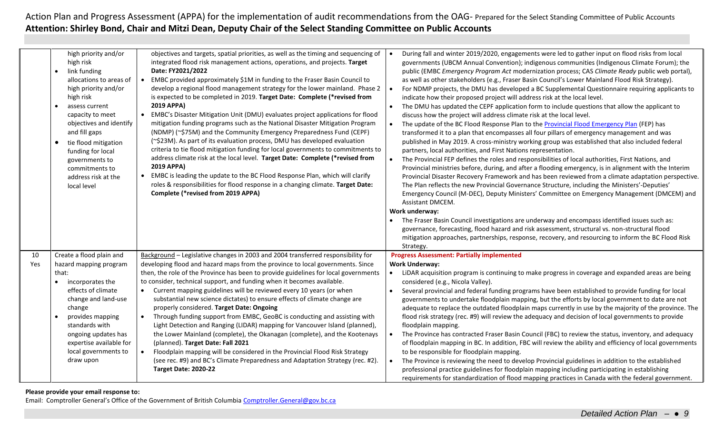|     | high priority and/or<br>high risk<br>link funding<br>$\bullet$<br>allocations to areas of<br>high priority and/or<br>high risk<br>assess current<br>capacity to meet<br>objectives and identify<br>and fill gaps<br>tie flood mitigation<br>$\bullet$<br>funding for local<br>governments to<br>commitments to<br>address risk at the<br>local level | objectives and targets, spatial priorities, as well as the timing and sequencing of<br>integrated flood risk management actions, operations, and projects. Target<br>Date: FY2021/2022<br>EMBC provided approximately \$1M in funding to the Fraser Basin Council to<br>$\bullet$<br>develop a regional flood management strategy for the lower mainland. Phase 2<br>is expected to be completed in 2019. Target Date: Complete (*revised from<br>2019 APPA)<br>• EMBC's Disaster Mitigation Unit (DMU) evaluates project applications for flood<br>mitigation funding programs such as the National Disaster Mitigation Program<br>(NDMP) (~\$75M) and the Community Emergency Preparedness Fund (CEPF)<br>(~\$23M). As part of its evaluation process, DMU has developed evaluation<br>criteria to tie flood mitigation funding for local governments to commitments to<br>address climate risk at the local level. Target Date: Complete (*revised from<br>2019 APPA)<br>• EMBC is leading the update to the BC Flood Response Plan, which will clarify<br>roles & responsibilities for flood response in a changing climate. Target Date:<br>Complete (*revised from 2019 APPA) | During fall and winter 2019/2020, engagements were led to gather input on flood risks from local<br>governments (UBCM Annual Convention); indigenous communities (Indigenous Climate Forum); the<br>public (EMBC Emergency Program Act modernization process; CAS Climate Ready public web portal),<br>as well as other stakeholders (e.g., Fraser Basin Council's Lower Mainland Flood Risk Strategy).<br>For NDMP projects, the DMU has developed a BC Supplemental Questionnaire requiring applicants to<br>indicate how their proposed project will address risk at the local level.<br>The DMU has updated the CEPF application form to include questions that allow the applicant to<br>discuss how the project will address climate risk at the local level.<br>The update of the BC Flood Response Plan to the Provincial Flood Emergency Plan (FEP) has<br>$\bullet$<br>transformed it to a plan that encompasses all four pillars of emergency management and was<br>published in May 2019. A cross-ministry working group was established that also included federal<br>partners, local authorities, and First Nations representation.<br>The Provincial FEP defines the roles and responsibilities of local authorities, First Nations, and<br>Provincial ministries before, during, and after a flooding emergency, is in alignment with the Interim<br>Provincial Disaster Recovery Framework and has been reviewed from a climate adaptation perspective.<br>The Plan reflects the new Provincial Governance Structure, including the Ministers'-Deputies'<br>Emergency Council (M-DEC), Deputy Ministers' Committee on Emergency Management (DMCEM) and<br>Assistant DMCEM.<br>Work underway:<br>The Fraser Basin Council investigations are underway and encompass identified issues such as:<br>governance, forecasting, flood hazard and risk assessment, structural vs. non-structural flood<br>mitigation approaches, partnerships, response, recovery, and resourcing to inform the BC Flood Risk<br>Strategy. |
|-----|------------------------------------------------------------------------------------------------------------------------------------------------------------------------------------------------------------------------------------------------------------------------------------------------------------------------------------------------------|-------------------------------------------------------------------------------------------------------------------------------------------------------------------------------------------------------------------------------------------------------------------------------------------------------------------------------------------------------------------------------------------------------------------------------------------------------------------------------------------------------------------------------------------------------------------------------------------------------------------------------------------------------------------------------------------------------------------------------------------------------------------------------------------------------------------------------------------------------------------------------------------------------------------------------------------------------------------------------------------------------------------------------------------------------------------------------------------------------------------------------------------------------------------------------------|--------------------------------------------------------------------------------------------------------------------------------------------------------------------------------------------------------------------------------------------------------------------------------------------------------------------------------------------------------------------------------------------------------------------------------------------------------------------------------------------------------------------------------------------------------------------------------------------------------------------------------------------------------------------------------------------------------------------------------------------------------------------------------------------------------------------------------------------------------------------------------------------------------------------------------------------------------------------------------------------------------------------------------------------------------------------------------------------------------------------------------------------------------------------------------------------------------------------------------------------------------------------------------------------------------------------------------------------------------------------------------------------------------------------------------------------------------------------------------------------------------------------------------------------------------------------------------------------------------------------------------------------------------------------------------------------------------------------------------------------------------------------------------------------------------------------------------------------------------------------------------------------------------------------------------------------------------------------------------------------------------------------------------------|
| 10  | Create a flood plain and                                                                                                                                                                                                                                                                                                                             | Background - Legislative changes in 2003 and 2004 transferred responsibility for                                                                                                                                                                                                                                                                                                                                                                                                                                                                                                                                                                                                                                                                                                                                                                                                                                                                                                                                                                                                                                                                                                    | <b>Progress Assessment: Partially implemented</b>                                                                                                                                                                                                                                                                                                                                                                                                                                                                                                                                                                                                                                                                                                                                                                                                                                                                                                                                                                                                                                                                                                                                                                                                                                                                                                                                                                                                                                                                                                                                                                                                                                                                                                                                                                                                                                                                                                                                                                                    |
| Yes | hazard mapping program                                                                                                                                                                                                                                                                                                                               | developing flood and hazard maps from the province to local governments. Since                                                                                                                                                                                                                                                                                                                                                                                                                                                                                                                                                                                                                                                                                                                                                                                                                                                                                                                                                                                                                                                                                                      | <b>Work Underway:</b>                                                                                                                                                                                                                                                                                                                                                                                                                                                                                                                                                                                                                                                                                                                                                                                                                                                                                                                                                                                                                                                                                                                                                                                                                                                                                                                                                                                                                                                                                                                                                                                                                                                                                                                                                                                                                                                                                                                                                                                                                |
|     | that:<br>incorporates the<br>$\bullet$                                                                                                                                                                                                                                                                                                               | then, the role of the Province has been to provide guidelines for local governments<br>to consider, technical support, and funding when it becomes available.                                                                                                                                                                                                                                                                                                                                                                                                                                                                                                                                                                                                                                                                                                                                                                                                                                                                                                                                                                                                                       | LiDAR acquisition program is continuing to make progress in coverage and expanded areas are being<br>considered (e.g., Nicola Valley).                                                                                                                                                                                                                                                                                                                                                                                                                                                                                                                                                                                                                                                                                                                                                                                                                                                                                                                                                                                                                                                                                                                                                                                                                                                                                                                                                                                                                                                                                                                                                                                                                                                                                                                                                                                                                                                                                               |
|     | effects of climate<br>change and land-use<br>change<br>provides mapping<br>standards with<br>ongoing updates has<br>expertise available for<br>local governments to<br>draw upon                                                                                                                                                                     | Current mapping guidelines will be reviewed every 10 years (or when<br>$\bullet$<br>substantial new science dictates) to ensure effects of climate change are<br>properly considered. Target Date: Ongoing<br>Through funding support from EMBC, GeoBC is conducting and assisting with<br>Light Detection and Ranging (LIDAR) mapping for Vancouver Island (planned),<br>the Lower Mainland (complete), the Okanagan (complete), and the Kootenays<br>(planned). Target Date: Fall 2021<br>Floodplain mapping will be considered in the Provincial Flood Risk Strategy<br>$\bullet$<br>(see rec. #9) and BC's Climate Preparedness and Adaptation Strategy (rec. #2).<br>Target Date: 2020-22                                                                                                                                                                                                                                                                                                                                                                                                                                                                                      | Several provincial and federal funding programs have been established to provide funding for local<br>$\bullet$<br>governments to undertake floodplain mapping, but the efforts by local government to date are not<br>adequate to replace the outdated floodplain maps currently in use by the majority of the province. The<br>flood risk strategy (rec. #9) will review the adequacy and decision of local governments to provide<br>floodplain mapping.<br>The Province has contracted Fraser Basin Council (FBC) to review the status, inventory, and adequacy<br>$\bullet$<br>of floodplain mapping in BC. In addition, FBC will review the ability and efficiency of local governments<br>to be responsible for floodplain mapping.<br>The Province is reviewing the need to develop Provincial guidelines in addition to the established<br>professional practice guidelines for floodplain mapping including participating in establishing<br>requirements for standardization of flood mapping practices in Canada with the federal government.                                                                                                                                                                                                                                                                                                                                                                                                                                                                                                                                                                                                                                                                                                                                                                                                                                                                                                                                                                            |

**Please provide your email response to:**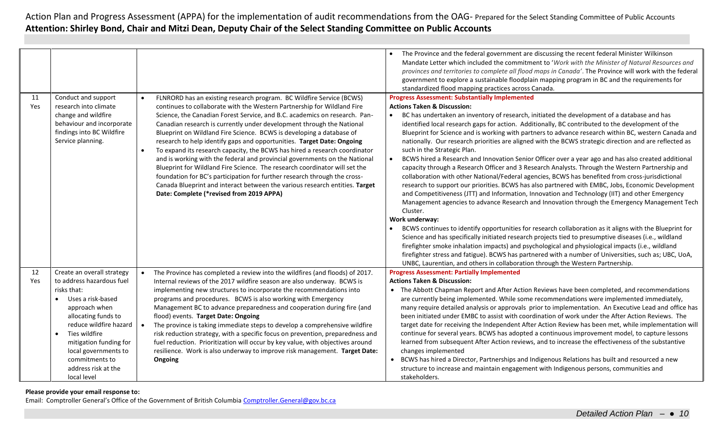|           |                                                                                                           |                                                                                                                                                                                                                                                                                                                                                                                                                                              | The Province and the federal government are discussing the recent federal Minister Wilkinson<br>Mandate Letter which included the commitment to 'Work with the Minister of Natural Resources and<br>provinces and territories to complete all flood maps in Canada'. The Province will work with the federal<br>government to explore a sustainable floodplain mapping program in BC and the requirements for<br>standardized flood mapping practices across Canada.                                                                                                                                                           |
|-----------|-----------------------------------------------------------------------------------------------------------|----------------------------------------------------------------------------------------------------------------------------------------------------------------------------------------------------------------------------------------------------------------------------------------------------------------------------------------------------------------------------------------------------------------------------------------------|--------------------------------------------------------------------------------------------------------------------------------------------------------------------------------------------------------------------------------------------------------------------------------------------------------------------------------------------------------------------------------------------------------------------------------------------------------------------------------------------------------------------------------------------------------------------------------------------------------------------------------|
| 11<br>Yes | Conduct and support<br>research into climate                                                              | FLNRORD has an existing research program. BC Wildfire Service (BCWS)<br>continues to collaborate with the Western Partnership for Wildland Fire                                                                                                                                                                                                                                                                                              | <b>Progress Assessment: Substantially Implemented</b><br><b>Actions Taken &amp; Discussion:</b>                                                                                                                                                                                                                                                                                                                                                                                                                                                                                                                                |
|           | change and wildfire                                                                                       | Science, the Canadian Forest Service, and B.C. academics on research. Pan-                                                                                                                                                                                                                                                                                                                                                                   | BC has undertaken an inventory of research, initiated the development of a database and has<br>$\bullet$                                                                                                                                                                                                                                                                                                                                                                                                                                                                                                                       |
|           | behaviour and incorporate                                                                                 | Canadian research is currently under development through the National                                                                                                                                                                                                                                                                                                                                                                        | identified local research gaps for action. Additionally, BC contributed to the development of the                                                                                                                                                                                                                                                                                                                                                                                                                                                                                                                              |
|           | findings into BC Wildfire<br>Service planning.                                                            | Blueprint on Wildland Fire Science. BCWS is developing a database of<br>research to help identify gaps and opportunities. Target Date: Ongoing                                                                                                                                                                                                                                                                                               | Blueprint for Science and is working with partners to advance research within BC, western Canada and<br>nationally. Our research priorities are aligned with the BCWS strategic direction and are reflected as                                                                                                                                                                                                                                                                                                                                                                                                                 |
|           |                                                                                                           | To expand its research capacity, the BCWS has hired a research coordinator<br>$\bullet$                                                                                                                                                                                                                                                                                                                                                      | such in the Strategic Plan.                                                                                                                                                                                                                                                                                                                                                                                                                                                                                                                                                                                                    |
|           |                                                                                                           | and is working with the federal and provincial governments on the National<br>Blueprint for Wildland Fire Science. The research coordinator will set the<br>foundation for BC's participation for further research through the cross-<br>Canada Blueprint and interact between the various research entities. Target<br>Date: Complete (*revised from 2019 APPA)                                                                             | BCWS hired a Research and Innovation Senior Officer over a year ago and has also created additional<br>capacity through a Research Officer and 3 Research Analysts. Through the Western Partnership and<br>collaboration with other National/Federal agencies, BCWS has benefited from cross-jurisdictional<br>research to support our priorities. BCWS has also partnered with EMBC, Jobs, Economic Development<br>and Competitiveness (JTT) and Information, Innovation and Technology (IIT) and other Emergency<br>Management agencies to advance Research and Innovation through the Emergency Management Tech<br>Cluster. |
|           |                                                                                                           |                                                                                                                                                                                                                                                                                                                                                                                                                                              | Work underway:                                                                                                                                                                                                                                                                                                                                                                                                                                                                                                                                                                                                                 |
|           |                                                                                                           |                                                                                                                                                                                                                                                                                                                                                                                                                                              | BCWS continues to identify opportunities for research collaboration as it aligns with the Blueprint for<br>Science and has specifically initiated research projects tied to presumptive diseases (i.e., wildland<br>firefighter smoke inhalation impacts) and psychological and physiological impacts (i.e., wildland<br>firefighter stress and fatigue). BCWS has partnered with a number of Universities, such as; UBC, UoA,<br>UNBC, Laurentian, and others in collaboration through the Western Partnership.                                                                                                               |
| 12        | Create an overall strategy                                                                                | The Province has completed a review into the wildfires (and floods) of 2017.                                                                                                                                                                                                                                                                                                                                                                 | <b>Progress Assessment: Partially Implemented</b>                                                                                                                                                                                                                                                                                                                                                                                                                                                                                                                                                                              |
| Yes       | to address hazardous fuel                                                                                 | Internal reviews of the 2017 wildfire season are also underway. BCWS is                                                                                                                                                                                                                                                                                                                                                                      | <b>Actions Taken &amp; Discussion:</b>                                                                                                                                                                                                                                                                                                                                                                                                                                                                                                                                                                                         |
|           | risks that:<br>Uses a risk-based                                                                          | implementing new structures to incorporate the recommendations into                                                                                                                                                                                                                                                                                                                                                                          | • The Abbott Chapman Report and After Action Reviews have been completed, and recommendations                                                                                                                                                                                                                                                                                                                                                                                                                                                                                                                                  |
|           | approach when<br>allocating funds to<br>reduce wildfire hazard<br>Ties wildfire<br>mitigation funding for | programs and procedures. BCWS is also working with Emergency<br>Management BC to advance preparedness and cooperation during fire (and<br>flood) events. Target Date: Ongoing<br>The province is taking immediate steps to develop a comprehensive wildfire<br>$\bullet$<br>risk reduction strategy, with a specific focus on prevention, preparedness and<br>fuel reduction. Prioritization will occur by key value, with objectives around | are currently being implemented. While some recommendations were implemented immediately,<br>many require detailed analysis or approvals prior to implementation. An Executive Lead and office has<br>been initiated under EMBC to assist with coordination of work under the After Action Reviews. The<br>target date for receiving the Independent After Action Review has been met, while implementation will<br>continue for several years. BCWS has adopted a continuous improvement model, to capture lessons<br>learned from subsequent After Action reviews, and to increase the effectiveness of the substantive      |
|           | local governments to                                                                                      | resilience. Work is also underway to improve risk management. Target Date:                                                                                                                                                                                                                                                                                                                                                                   | changes implemented                                                                                                                                                                                                                                                                                                                                                                                                                                                                                                                                                                                                            |
|           | commitments to                                                                                            | Ongoing                                                                                                                                                                                                                                                                                                                                                                                                                                      | • BCWS has hired a Director, Partnerships and Indigenous Relations has built and resourced a new                                                                                                                                                                                                                                                                                                                                                                                                                                                                                                                               |
|           | address risk at the<br>local level                                                                        |                                                                                                                                                                                                                                                                                                                                                                                                                                              | structure to increase and maintain engagement with Indigenous persons, communities and<br>stakeholders.                                                                                                                                                                                                                                                                                                                                                                                                                                                                                                                        |

### **Please provide your email response to:**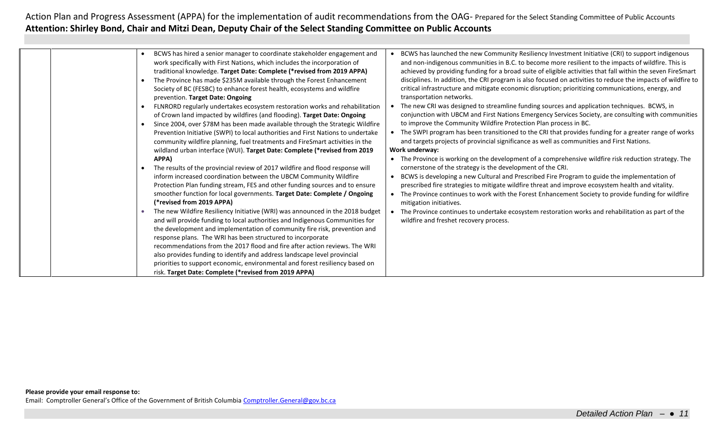| BCWS has hired a senior manager to coordinate stakeholder engagement and<br>work specifically with First Nations, which includes the incorporation of<br>traditional knowledge. Target Date: Complete (*revised from 2019 APPA)<br>The Province has made \$235M available through the Forest Enhancement<br>Society of BC (FESBC) to enhance forest health, ecosystems and wildfire<br>prevention. Target Date: Ongoing<br>FLNRORD regularly undertakes ecosystem restoration works and rehabilitation<br>of Crown land impacted by wildfires (and flooding). Target Date: Ongoing<br>Since 2004, over \$78M has been made available through the Strategic Wildfire<br>Prevention Initiative (SWPI) to local authorities and First Nations to undertake<br>community wildfire planning, fuel treatments and FireSmart activities in the<br>wildland urban interface (WUI). Target Date: Complete (*revised from 2019<br>APPA)<br>The results of the provincial review of 2017 wildfire and flood response will<br>inform increased coordination between the UBCM Community Wildfire<br>Protection Plan funding stream, FES and other funding sources and to ensure<br>smoother function for local governments. Target Date: Complete / Ongoing<br>(*revised from 2019 APPA)<br>The new Wildfire Resiliency Initiative (WRI) was announced in the 2018 budget<br>and will provide funding to local authorities and Indigenous Communities for<br>the development and implementation of community fire risk, prevention and<br>response plans. The WRI has been structured to incorporate<br>recommendations from the 2017 flood and fire after action reviews. The WRI<br>also provides funding to identify and address landscape level provincial<br>priorities to support economic, environmental and forest resiliency based on | • BCWS has launched the new Community Resiliency Investment Initiative (CRI) to support indigenous<br>and non-indigenous communities in B.C. to become more resilient to the impacts of wildfire. This is<br>achieved by providing funding for a broad suite of eligible activities that fall within the seven FireSmart<br>disciplines. In addition, the CRI program is also focused on activities to reduce the impacts of wildfire to<br>critical infrastructure and mitigate economic disruption; prioritizing communications, energy, and<br>transportation networks.<br>The new CRI was designed to streamline funding sources and application techniques. BCWS, in<br>conjunction with UBCM and First Nations Emergency Services Society, are consulting with communities<br>to improve the Community Wildfire Protection Plan process in BC.<br>• The SWPI program has been transitioned to the CRI that provides funding for a greater range of works<br>and targets projects of provincial significance as well as communities and First Nations.<br>Work underway:<br>• The Province is working on the development of a comprehensive wildfire risk reduction strategy. The<br>cornerstone of the strategy is the development of the CRI.<br>BCWS is developing a new Cultural and Prescribed Fire Program to guide the implementation of<br>prescribed fire strategies to mitigate wildfire threat and improve ecosystem health and vitality.<br>• The Province continues to work with the Forest Enhancement Society to provide funding for wildfire<br>mitigation initiatives.<br>The Province continues to undertake ecosystem restoration works and rehabilitation as part of the<br>wildfire and freshet recovery process. |
|-----------------------------------------------------------------------------------------------------------------------------------------------------------------------------------------------------------------------------------------------------------------------------------------------------------------------------------------------------------------------------------------------------------------------------------------------------------------------------------------------------------------------------------------------------------------------------------------------------------------------------------------------------------------------------------------------------------------------------------------------------------------------------------------------------------------------------------------------------------------------------------------------------------------------------------------------------------------------------------------------------------------------------------------------------------------------------------------------------------------------------------------------------------------------------------------------------------------------------------------------------------------------------------------------------------------------------------------------------------------------------------------------------------------------------------------------------------------------------------------------------------------------------------------------------------------------------------------------------------------------------------------------------------------------------------------------------------------------------------------------------------------------------------------------------------------------------------|---------------------------------------------------------------------------------------------------------------------------------------------------------------------------------------------------------------------------------------------------------------------------------------------------------------------------------------------------------------------------------------------------------------------------------------------------------------------------------------------------------------------------------------------------------------------------------------------------------------------------------------------------------------------------------------------------------------------------------------------------------------------------------------------------------------------------------------------------------------------------------------------------------------------------------------------------------------------------------------------------------------------------------------------------------------------------------------------------------------------------------------------------------------------------------------------------------------------------------------------------------------------------------------------------------------------------------------------------------------------------------------------------------------------------------------------------------------------------------------------------------------------------------------------------------------------------------------------------------------------------------------------------------------------------------------------------------------------------------------------|
| risk. Target Date: Complete (*revised from 2019 APPA)                                                                                                                                                                                                                                                                                                                                                                                                                                                                                                                                                                                                                                                                                                                                                                                                                                                                                                                                                                                                                                                                                                                                                                                                                                                                                                                                                                                                                                                                                                                                                                                                                                                                                                                                                                             |                                                                                                                                                                                                                                                                                                                                                                                                                                                                                                                                                                                                                                                                                                                                                                                                                                                                                                                                                                                                                                                                                                                                                                                                                                                                                                                                                                                                                                                                                                                                                                                                                                                                                                                                             |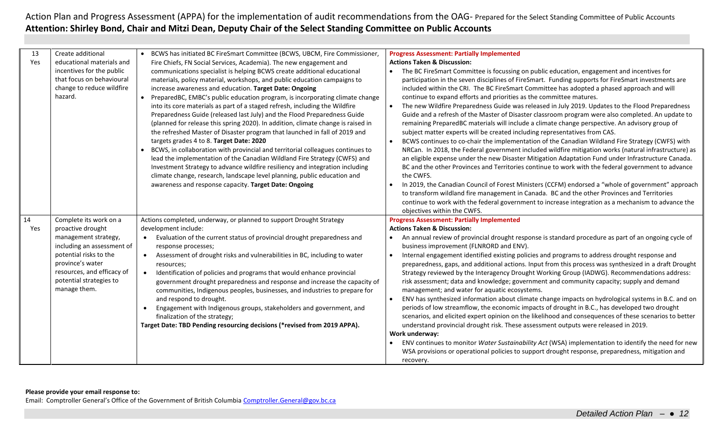| Create additional<br>13<br>educational materials and<br>Yes<br>incentives for the public<br>that focus on behavioural<br>change to reduce wildfire<br>hazard.                                                                         | • BCWS has initiated BC FireSmart Committee (BCWS, UBCM, Fire Commissioner,<br>Fire Chiefs, FN Social Services, Academia). The new engagement and<br>communications specialist is helping BCWS create additional educational<br>materials, policy material, workshops, and public education campaigns to<br>increase awareness and education. Target Date: Ongoing<br>• PreparedBC, EMBC's public education program, is incorporating climate change<br>into its core materials as part of a staged refresh, including the Wildfire<br>Preparedness Guide (released last July) and the Flood Preparedness Guide<br>(planned for release this spring 2020). In addition, climate change is raised in<br>the refreshed Master of Disaster program that launched in fall of 2019 and<br>targets grades 4 to 8. Target Date: 2020<br>• BCWS, in collaboration with provincial and territorial colleagues continues to<br>lead the implementation of the Canadian Wildland Fire Strategy (CWFS) and<br>Investment Strategy to advance wildfire resiliency and integration including<br>climate change, research, landscape level planning, public education and<br>awareness and response capacity. Target Date: Ongoing | <b>Progress Assessment: Partially Implemented</b><br><b>Actions Taken &amp; Discussion:</b><br>The BC FireSmart Committee is focussing on public education, engagement and incentives for<br>participation in the seven disciplines of FireSmart. Funding supports for FireSmart investments are<br>included within the CRI. The BC FireSmart Committee has adopted a phased approach and will<br>continue to expand efforts and priorities as the committee matures.<br>The new Wildfire Preparedness Guide was released in July 2019. Updates to the Flood Preparedness<br>$\bullet$<br>Guide and a refresh of the Master of Disaster classroom program were also completed. An update to<br>remaining PreparedBC materials will include a climate change perspective. An advisory group of<br>subject matter experts will be created including representatives from CAS.<br>BCWS continues to co-chair the implementation of the Canadian Wildland Fire Strategy (CWFS) with<br>NRCan. In 2018, the Federal government included wildfire mitigation works (natural infrastructure) as<br>an eligible expense under the new Disaster Mitigation Adaptation Fund under Infrastructure Canada.<br>BC and the other Provinces and Territories continue to work with the federal government to advance<br>the CWFS.<br>In 2019, the Canadian Council of Forest Ministers (CCFM) endorsed a "whole of government" approach<br>to transform wildland fire management in Canada. BC and the other Provinces and Territories<br>continue to work with the federal government to increase integration as a mechanism to advance the<br>objectives within the CWFS. |
|---------------------------------------------------------------------------------------------------------------------------------------------------------------------------------------------------------------------------------------|---------------------------------------------------------------------------------------------------------------------------------------------------------------------------------------------------------------------------------------------------------------------------------------------------------------------------------------------------------------------------------------------------------------------------------------------------------------------------------------------------------------------------------------------------------------------------------------------------------------------------------------------------------------------------------------------------------------------------------------------------------------------------------------------------------------------------------------------------------------------------------------------------------------------------------------------------------------------------------------------------------------------------------------------------------------------------------------------------------------------------------------------------------------------------------------------------------------------|-------------------------------------------------------------------------------------------------------------------------------------------------------------------------------------------------------------------------------------------------------------------------------------------------------------------------------------------------------------------------------------------------------------------------------------------------------------------------------------------------------------------------------------------------------------------------------------------------------------------------------------------------------------------------------------------------------------------------------------------------------------------------------------------------------------------------------------------------------------------------------------------------------------------------------------------------------------------------------------------------------------------------------------------------------------------------------------------------------------------------------------------------------------------------------------------------------------------------------------------------------------------------------------------------------------------------------------------------------------------------------------------------------------------------------------------------------------------------------------------------------------------------------------------------------------------------------------------------------------------------------------------------------------|
| 14<br>Complete its work on a<br>Yes<br>proactive drought<br>management strategy,<br>including an assessment of<br>potential risks to the<br>province's water<br>resources, and efficacy of<br>potential strategies to<br>manage them. | Actions completed, underway, or planned to support Drought Strategy<br>development include:<br>Evaluation of the current status of provincial drought preparedness and<br>response processes;<br>Assessment of drought risks and vulnerabilities in BC, including to water<br>resources;<br>Identification of policies and programs that would enhance provincial<br>$\bullet$<br>government drought preparedness and response and increase the capacity of<br>communities, Indigenous peoples, businesses, and industries to prepare for<br>and respond to drought.<br>Engagement with Indigenous groups, stakeholders and government, and<br>$\bullet$<br>finalization of the strategy;<br>Target Date: TBD Pending resourcing decisions (*revised from 2019 APPA).                                                                                                                                                                                                                                                                                                                                                                                                                                               | <b>Progress Assessment: Partially Implemented</b><br><b>Actions Taken &amp; Discussion:</b><br>An annual review of provincial drought response is standard procedure as part of an ongoing cycle of<br>business improvement (FLNRORD and ENV).<br>Internal engagement identified existing policies and programs to address drought response and<br>$\bullet$<br>preparedness, gaps, and additional actions. Input from this process was synthesized in a draft Drought<br>Strategy reviewed by the Interagency Drought Working Group (IADWG). Recommendations address:<br>risk assessment; data and knowledge; government and community capacity; supply and demand<br>management; and water for aquatic ecosystems.<br>ENV has synthesized information about climate change impacts on hydrological systems in B.C. and on<br>$\bullet$<br>periods of low streamflow, the economic impacts of drought in B.C., has developed two drought<br>scenarios, and elicited expert opinion on the likelihood and consequences of these scenarios to better<br>understand provincial drought risk. These assessment outputs were released in 2019.<br>Work underway:<br>ENV continues to monitor Water Sustainability Act (WSA) implementation to identify the need for new<br>$\bullet$<br>WSA provisions or operational policies to support drought response, preparedness, mitigation and<br>recovery.                                                                                                                                                                                                                                                           |

### **Please provide your email response to:**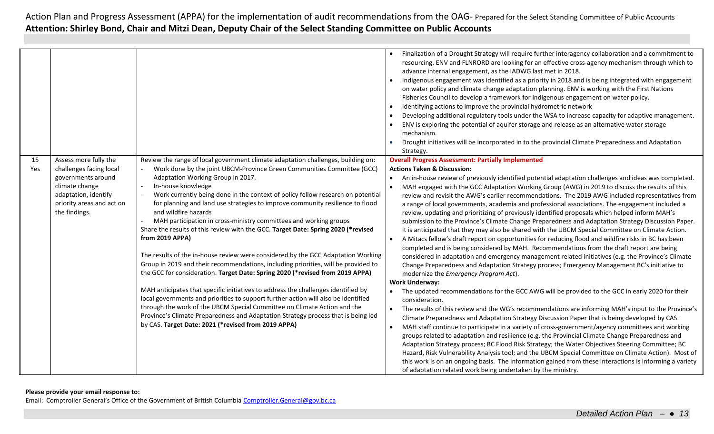|           |                                                                                                                                                                |                                                                                                                                                                                                                                                                                                                                                                                                                                                                                                                                                                                                                                                                                                                                                                                                                                                                                                                                                                                                                                                                                                                                                                                                                                                              | Finalization of a Drought Strategy will require further interagency collaboration and a commitment to<br>resourcing. ENV and FLNRORD are looking for an effective cross-agency mechanism through which to<br>advance internal engagement, as the IADWG last met in 2018.<br>Indigenous engagement was identified as a priority in 2018 and is being integrated with engagement<br>on water policy and climate change adaptation planning. ENV is working with the First Nations<br>Fisheries Council to develop a framework for Indigenous engagement on water policy.<br>Identifying actions to improve the provincial hydrometric network<br>Developing additional regulatory tools under the WSA to increase capacity for adaptive management.<br>ENV is exploring the potential of aquifer storage and release as an alternative water storage<br>mechanism.<br>Drought initiatives will be incorporated in to the provincial Climate Preparedness and Adaptation<br>Strategy.                                                                                                                                                                                                                                                                                                                                                                                                                                                                                                                                                                                                                                                                                                                                                                                                                                                                                                                                                                                                                                                                                                                                                                                                                                                                        |
|-----------|----------------------------------------------------------------------------------------------------------------------------------------------------------------|--------------------------------------------------------------------------------------------------------------------------------------------------------------------------------------------------------------------------------------------------------------------------------------------------------------------------------------------------------------------------------------------------------------------------------------------------------------------------------------------------------------------------------------------------------------------------------------------------------------------------------------------------------------------------------------------------------------------------------------------------------------------------------------------------------------------------------------------------------------------------------------------------------------------------------------------------------------------------------------------------------------------------------------------------------------------------------------------------------------------------------------------------------------------------------------------------------------------------------------------------------------|-----------------------------------------------------------------------------------------------------------------------------------------------------------------------------------------------------------------------------------------------------------------------------------------------------------------------------------------------------------------------------------------------------------------------------------------------------------------------------------------------------------------------------------------------------------------------------------------------------------------------------------------------------------------------------------------------------------------------------------------------------------------------------------------------------------------------------------------------------------------------------------------------------------------------------------------------------------------------------------------------------------------------------------------------------------------------------------------------------------------------------------------------------------------------------------------------------------------------------------------------------------------------------------------------------------------------------------------------------------------------------------------------------------------------------------------------------------------------------------------------------------------------------------------------------------------------------------------------------------------------------------------------------------------------------------------------------------------------------------------------------------------------------------------------------------------------------------------------------------------------------------------------------------------------------------------------------------------------------------------------------------------------------------------------------------------------------------------------------------------------------------------------------------------------------------------------------------------------------------------------------------|
| 15<br>Yes | Assess more fully the<br>challenges facing local<br>governments around<br>climate change<br>adaptation, identify<br>priority areas and act on<br>the findings. | Review the range of local government climate adaptation challenges, building on:<br>Work done by the joint UBCM-Province Green Communities Committee (GCC)<br>Adaptation Working Group in 2017.<br>In-house knowledge<br>Work currently being done in the context of policy fellow research on potential<br>for planning and land use strategies to improve community resilience to flood<br>and wildfire hazards<br>MAH participation in cross-ministry committees and working groups<br>Share the results of this review with the GCC. Target Date: Spring 2020 (*revised<br>from 2019 APPA)<br>The results of the in-house review were considered by the GCC Adaptation Working<br>Group in 2019 and their recommendations, including priorities, will be provided to<br>the GCC for consideration. Target Date: Spring 2020 (*revised from 2019 APPA)<br>MAH anticipates that specific initiatives to address the challenges identified by<br>local governments and priorities to support further action will also be identified<br>through the work of the UBCM Special Committee on Climate Action and the<br>Province's Climate Preparedness and Adaptation Strategy process that is being led<br>by CAS. Target Date: 2021 (*revised from 2019 APPA) | <b>Overall Progress Assessment: Partially Implemented</b><br><b>Actions Taken &amp; Discussion:</b><br>An in-house review of previously identified potential adaptation challenges and ideas was completed.<br>MAH engaged with the GCC Adaptation Working Group (AWG) in 2019 to discuss the results of this<br>review and revisit the AWG's earlier recommendations. The 2019 AWG included representatives from<br>a range of local governments, academia and professional associations. The engagement included a<br>review, updating and prioritizing of previously identified proposals which helped inform MAH's<br>submission to the Province's Climate Change Preparedness and Adaptation Strategy Discussion Paper.<br>It is anticipated that they may also be shared with the UBCM Special Committee on Climate Action.<br>A Mitacs fellow's draft report on opportunities for reducing flood and wildfire risks in BC has been<br>completed and is being considered by MAH. Recommendations from the draft report are being<br>considered in adaptation and emergency management related initiatives (e.g. the Province's Climate<br>Change Preparedness and Adaptation Strategy process; Emergency Management BC's initiative to<br>modernize the Emergency Program Act).<br><b>Work Underway:</b><br>The updated recommendations for the GCC AWG will be provided to the GCC in early 2020 for their<br>$\bullet$<br>consideration.<br>• The results of this review and the WG's recommendations are informing MAH's input to the Province's<br>Climate Preparedness and Adaptation Strategy Discussion Paper that is being developed by CAS.<br>MAH staff continue to participate in a variety of cross-government/agency committees and working<br>groups related to adaptation and resilience (e.g. the Provincial Climate Change Preparedness and<br>Adaptation Strategy process; BC Flood Risk Strategy; the Water Objectives Steering Committee; BC<br>Hazard, Risk Vulnerability Analysis tool; and the UBCM Special Committee on Climate Action). Most of<br>this work is on an ongoing basis. The information gained from these interactions is informing a variety<br>of adaptation related work being undertaken by the ministry. |

### **Please provide your email response to:**